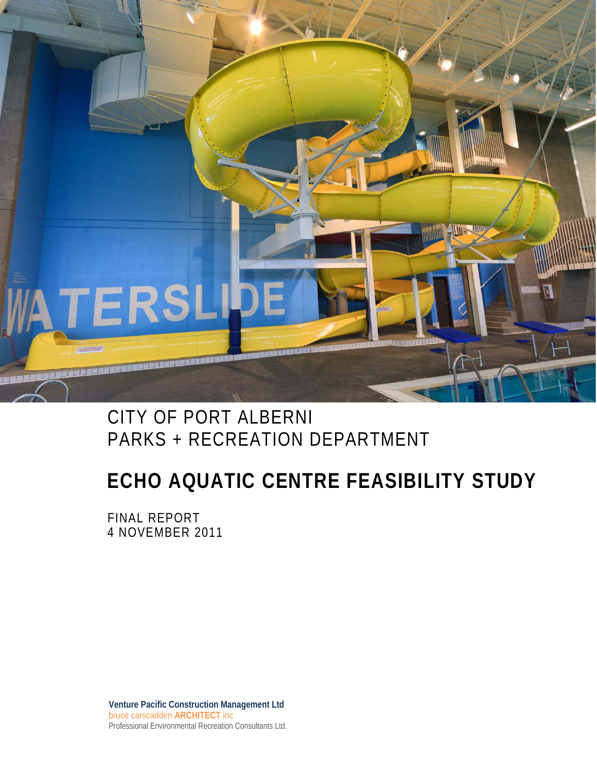

### CITY OF PORT ALBERNI PARKS + RECREATION DEPARTMENT

### **ECHO AQUATIC CENTRE FEASIBILITY STUDY**

FINAL REPORT 4 NOVEMBER 2011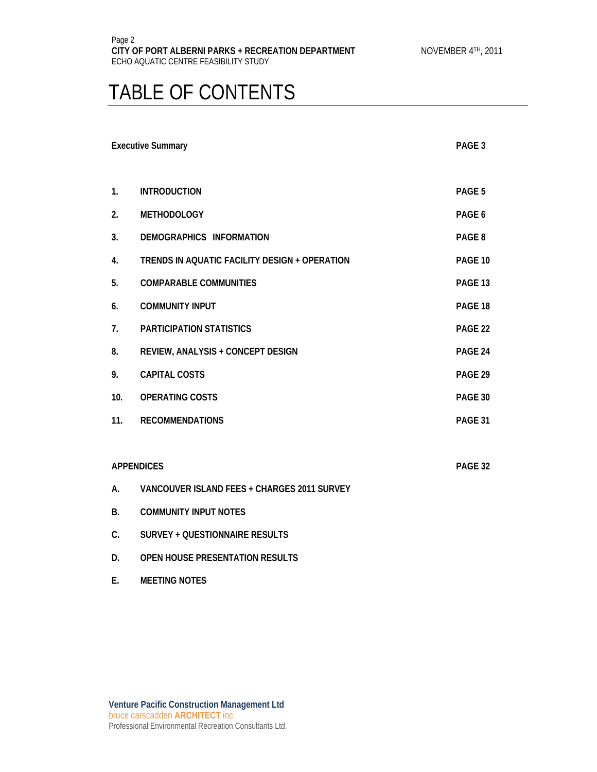### TABLE OF CONTENTS

|                | <b>Executive Summary</b>                      | PAGE 3  |
|----------------|-----------------------------------------------|---------|
| $\mathbf{1}$ . | <b>INTRODUCTION</b>                           | PAGE 5  |
| 2.             | <b>METHODOLOGY</b>                            | PAGE 6  |
| 3.             | DEMOGRAPHICS INFORMATION                      | PAGE 8  |
| 4.             | TRENDS IN AQUATIC FACILITY DESIGN + OPERATION | PAGE 10 |
| 5.             | <b>COMPARABLE COMMUNITIES</b>                 | PAGE 13 |
| 6.             | <b>COMMUNITY INPUT</b>                        | PAGE 18 |
| 7.             | <b>PARTICIPATION STATISTICS</b>               | PAGE 22 |
| 8.             | REVIEW, ANALYSIS + CONCEPT DESIGN             | PAGE 24 |
| 9.             | <b>CAPITAL COSTS</b>                          | PAGE 29 |
| 10.            | <b>OPERATING COSTS</b>                        | PAGE 30 |
| 11.            | <b>RECOMMENDATIONS</b>                        | PAGE 31 |
|                |                                               |         |
|                | <b>APPENDICES</b>                             | PAGE 32 |
| А.             | VANCOUVER ISLAND FEES + CHARGES 2011 SURVEY   |         |
| <b>B.</b>      | <b>COMMUNITY INPUT NOTES</b>                  |         |
| C.             | <b>SURVEY + QUESTIONNAIRE RESULTS</b>         |         |
| D.             | OPEN HOUSE PRESENTATION RESULTS               |         |

**E. MEETING NOTES**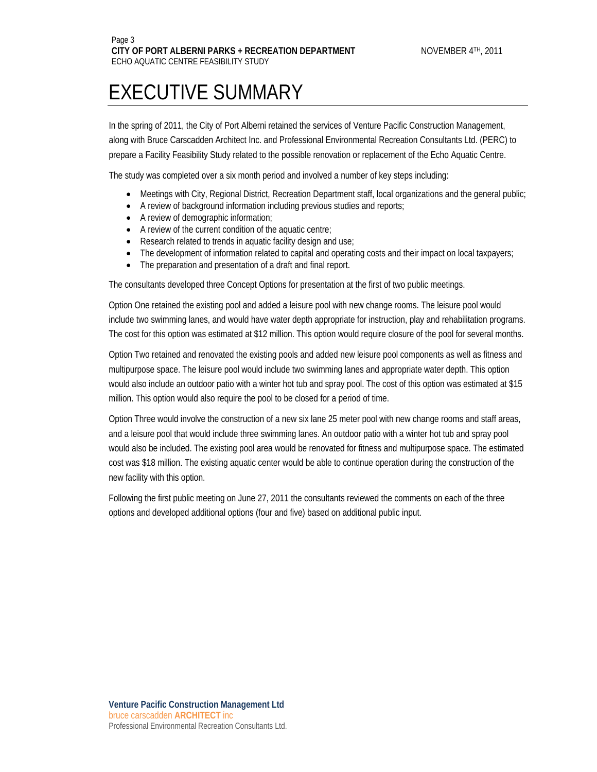### EXECUTIVE SUMMARY

In the spring of 2011, the City of Port Alberni retained the services of Venture Pacific Construction Management, along with Bruce Carscadden Architect Inc. and Professional Environmental Recreation Consultants Ltd. (PERC) to prepare a Facility Feasibility Study related to the possible renovation or replacement of the Echo Aquatic Centre.

The study was completed over a six month period and involved a number of key steps including:

- Meetings with City, Regional District, Recreation Department staff, local organizations and the general public;
- A review of background information including previous studies and reports;
- A review of demographic information;
- A review of the current condition of the aquatic centre;
- Research related to trends in aquatic facility design and use;
- The development of information related to capital and operating costs and their impact on local taxpayers;
- The preparation and presentation of a draft and final report.

The consultants developed three Concept Options for presentation at the first of two public meetings.

Option One retained the existing pool and added a leisure pool with new change rooms. The leisure pool would include two swimming lanes, and would have water depth appropriate for instruction, play and rehabilitation programs. The cost for this option was estimated at \$12 million. This option would require closure of the pool for several months.

Option Two retained and renovated the existing pools and added new leisure pool components as well as fitness and multipurpose space. The leisure pool would include two swimming lanes and appropriate water depth. This option would also include an outdoor patio with a winter hot tub and spray pool. The cost of this option was estimated at \$15 million. This option would also require the pool to be closed for a period of time.

Option Three would involve the construction of a new six lane 25 meter pool with new change rooms and staff areas, and a leisure pool that would include three swimming lanes. An outdoor patio with a winter hot tub and spray pool would also be included. The existing pool area would be renovated for fitness and multipurpose space. The estimated cost was \$18 million. The existing aquatic center would be able to continue operation during the construction of the new facility with this option.

Following the first public meeting on June 27, 2011 the consultants reviewed the comments on each of the three options and developed additional options (four and five) based on additional public input.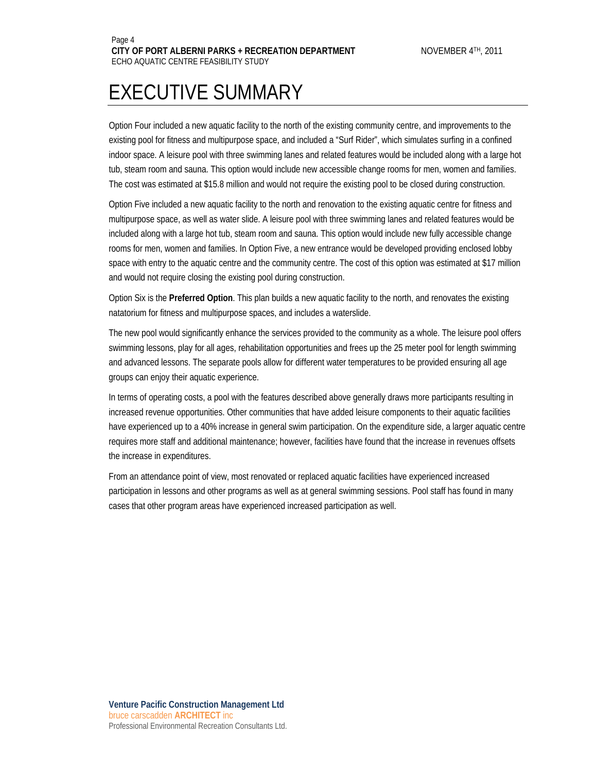### EXECUTIVE SUMMARY

Option Four included a new aquatic facility to the north of the existing community centre, and improvements to the existing pool for fitness and multipurpose space, and included a "Surf Rider", which simulates surfing in a confined indoor space. A leisure pool with three swimming lanes and related features would be included along with a large hot tub, steam room and sauna. This option would include new accessible change rooms for men, women and families. The cost was estimated at \$15.8 million and would not require the existing pool to be closed during construction.

Option Five included a new aquatic facility to the north and renovation to the existing aquatic centre for fitness and multipurpose space, as well as water slide. A leisure pool with three swimming lanes and related features would be included along with a large hot tub, steam room and sauna. This option would include new fully accessible change rooms for men, women and families. In Option Five, a new entrance would be developed providing enclosed lobby space with entry to the aquatic centre and the community centre. The cost of this option was estimated at \$17 million and would not require closing the existing pool during construction.

Option Six is the **Preferred Option**. This plan builds a new aquatic facility to the north, and renovates the existing natatorium for fitness and multipurpose spaces, and includes a waterslide.

The new pool would significantly enhance the services provided to the community as a whole. The leisure pool offers swimming lessons, play for all ages, rehabilitation opportunities and frees up the 25 meter pool for length swimming and advanced lessons. The separate pools allow for different water temperatures to be provided ensuring all age groups can enjoy their aquatic experience.

In terms of operating costs, a pool with the features described above generally draws more participants resulting in increased revenue opportunities. Other communities that have added leisure components to their aquatic facilities have experienced up to a 40% increase in general swim participation. On the expenditure side, a larger aquatic centre requires more staff and additional maintenance; however, facilities have found that the increase in revenues offsets the increase in expenditures.

From an attendance point of view, most renovated or replaced aquatic facilities have experienced increased participation in lessons and other programs as well as at general swimming sessions. Pool staff has found in many cases that other program areas have experienced increased participation as well.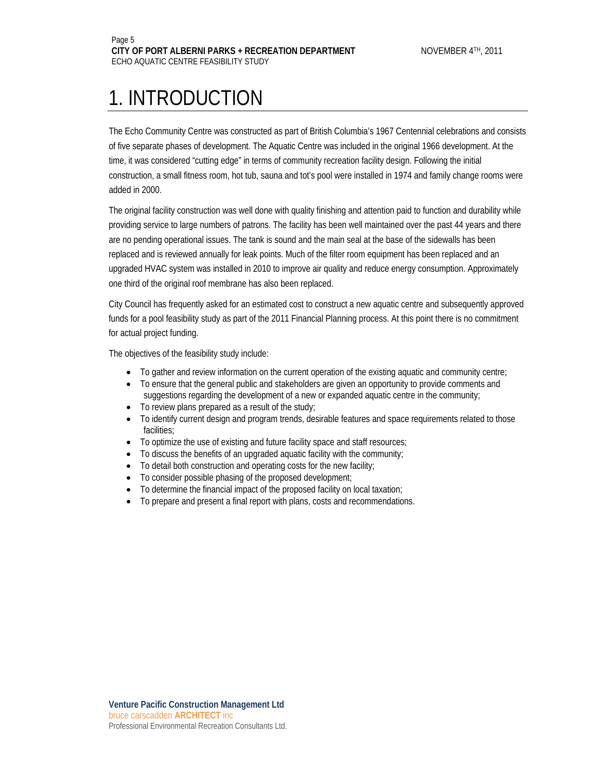### 1. INTRODUCTION

The Echo Community Centre was constructed as part of British Columbia's 1967 Centennial celebrations and consists of five separate phases of development. The Aquatic Centre was included in the original 1966 development. At the time, it was considered "cutting edge" in terms of community recreation facility design. Following the initial construction, a small fitness room, hot tub, sauna and tot's pool were installed in 1974 and family change rooms were added in 2000.

The original facility construction was well done with quality finishing and attention paid to function and durability while providing service to large numbers of patrons. The facility has been well maintained over the past 44 years and there are no pending operational issues. The tank is sound and the main seal at the base of the sidewalls has been replaced and is reviewed annually for leak points. Much of the filter room equipment has been replaced and an upgraded HVAC system was installed in 2010 to improve air quality and reduce energy consumption. Approximately one third of the original roof membrane has also been replaced.

City Council has frequently asked for an estimated cost to construct a new aquatic centre and subsequently approved funds for a pool feasibility study as part of the 2011 Financial Planning process. At this point there is no commitment for actual project funding.

The objectives of the feasibility study include:

- To gather and review information on the current operation of the existing aquatic and community centre;
- To ensure that the general public and stakeholders are given an opportunity to provide comments and suggestions regarding the development of a new or expanded aquatic centre in the community;
- To review plans prepared as a result of the study;
- To identify current design and program trends, desirable features and space requirements related to those facilities;
- To optimize the use of existing and future facility space and staff resources;
- To discuss the benefits of an upgraded aquatic facility with the community;
- To detail both construction and operating costs for the new facility;
- To consider possible phasing of the proposed development;
- To determine the financial impact of the proposed facility on local taxation;
- To prepare and present a final report with plans, costs and recommendations.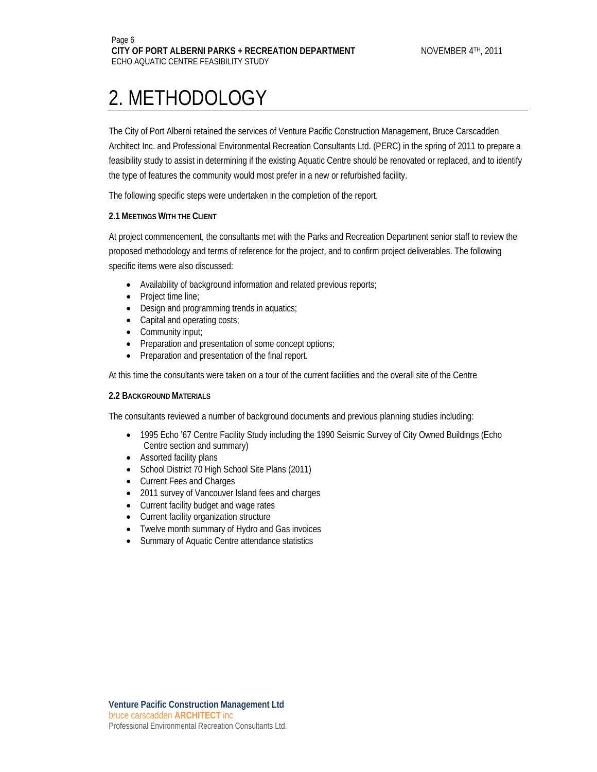### 2. METHODOLOGY

The City of Port Alberni retained the services of Venture Pacific Construction Management, Bruce Carscadden Architect Inc. and Professional Environmental Recreation Consultants Ltd. (PERC) in the spring of 2011 to prepare a feasibility study to assist in determining if the existing Aquatic Centre should be renovated or replaced, and to identify the type of features the community would most prefer in a new or refurbished facility.

The following specific steps were undertaken in the completion of the report.

#### **2.1 MEETINGS WITH THE CLIENT**

At project commencement, the consultants met with the Parks and Recreation Department senior staff to review the proposed methodology and terms of reference for the project, and to confirm project deliverables. The following specific items were also discussed:

- Availability of background information and related previous reports;
- Project time line;
- Design and programming trends in aquatics;
- Capital and operating costs;
- Community input;
- Preparation and presentation of some concept options;
- Preparation and presentation of the final report.

At this time the consultants were taken on a tour of the current facilities and the overall site of the Centre

#### **2.2 BACKGROUND MATERIALS**

The consultants reviewed a number of background documents and previous planning studies including:

- 1995 Echo '67 Centre Facility Study including the 1990 Seismic Survey of City Owned Buildings (Echo Centre section and summary)
- Assorted facility plans
- School District 70 High School Site Plans (2011)
- Current Fees and Charges
- 2011 survey of Vancouver Island fees and charges
- Current facility budget and wage rates
- Current facility organization structure
- Twelve month summary of Hydro and Gas invoices
- Summary of Aquatic Centre attendance statistics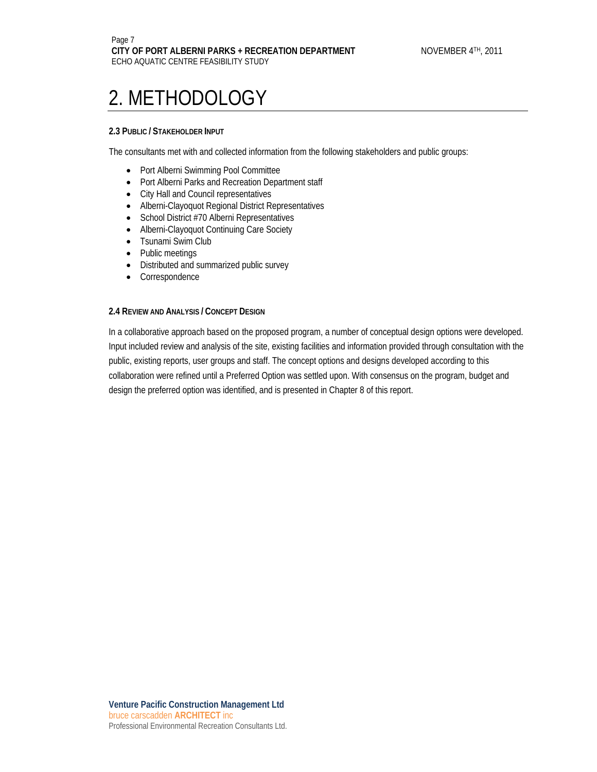### 2. METHODOLOGY

#### **2.3 PUBLIC / STAKEHOLDER INPUT**

The consultants met with and collected information from the following stakeholders and public groups:

- Port Alberni Swimming Pool Committee
- Port Alberni Parks and Recreation Department staff
- City Hall and Council representatives
- Alberni-Clayoquot Regional District Representatives
- School District #70 Alberni Representatives
- Alberni-Clayoquot Continuing Care Society
- Tsunami Swim Club
- Public meetings
- Distributed and summarized public survey
- Correspondence

#### **2.4 REVIEW AND ANALYSIS / CONCEPT DESIGN**

In a collaborative approach based on the proposed program, a number of conceptual design options were developed. Input included review and analysis of the site, existing facilities and information provided through consultation with the public, existing reports, user groups and staff. The concept options and designs developed according to this collaboration were refined until a Preferred Option was settled upon. With consensus on the program, budget and design the preferred option was identified, and is presented in Chapter 8 of this report.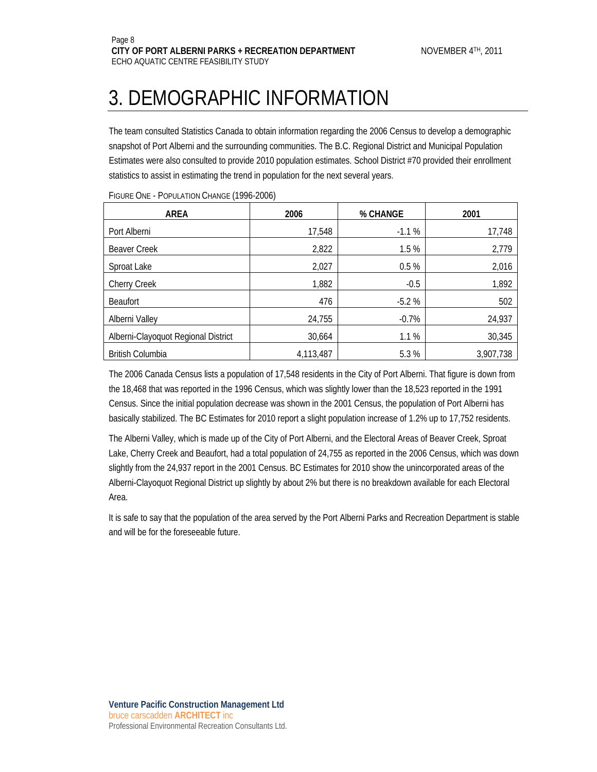### 3. DEMOGRAPHIC INFORMATION

The team consulted Statistics Canada to obtain information regarding the 2006 Census to develop a demographic snapshot of Port Alberni and the surrounding communities. The B.C. Regional District and Municipal Population Estimates were also consulted to provide 2010 population estimates. School District #70 provided their enrollment statistics to assist in estimating the trend in population for the next several years.

| <b>AREA</b>                         | 2006      | % CHANGE | 2001      |
|-------------------------------------|-----------|----------|-----------|
| Port Alberni                        | 17,548    | $-1.1%$  | 17,748    |
| <b>Beaver Creek</b>                 | 2,822     | 1.5%     | 2,779     |
| Sproat Lake                         | 2,027     | 0.5%     | 2,016     |
| <b>Cherry Creek</b>                 | 1,882     | $-0.5$   | 1,892     |
| <b>Beaufort</b>                     | 476       | $-5.2%$  | 502       |
| Alberni Valley                      | 24,755    | $-0.7%$  | 24,937    |
| Alberni-Clayoquot Regional District | 30,664    | 1.1%     | 30,345    |
| <b>British Columbia</b>             | 4,113,487 | 5.3%     | 3,907,738 |

FIGURE ONE - POPULATION CHANGE (1996-2006)

The 2006 Canada Census lists a population of 17,548 residents in the City of Port Alberni. That figure is down from the 18,468 that was reported in the 1996 Census, which was slightly lower than the 18,523 reported in the 1991 Census. Since the initial population decrease was shown in the 2001 Census, the population of Port Alberni has basically stabilized. The BC Estimates for 2010 report a slight population increase of 1.2% up to 17,752 residents.

The Alberni Valley, which is made up of the City of Port Alberni, and the Electoral Areas of Beaver Creek, Sproat Lake, Cherry Creek and Beaufort, had a total population of 24,755 as reported in the 2006 Census, which was down slightly from the 24,937 report in the 2001 Census. BC Estimates for 2010 show the unincorporated areas of the Alberni-Clayoquot Regional District up slightly by about 2% but there is no breakdown available for each Electoral Area.

It is safe to say that the population of the area served by the Port Alberni Parks and Recreation Department is stable and will be for the foreseeable future.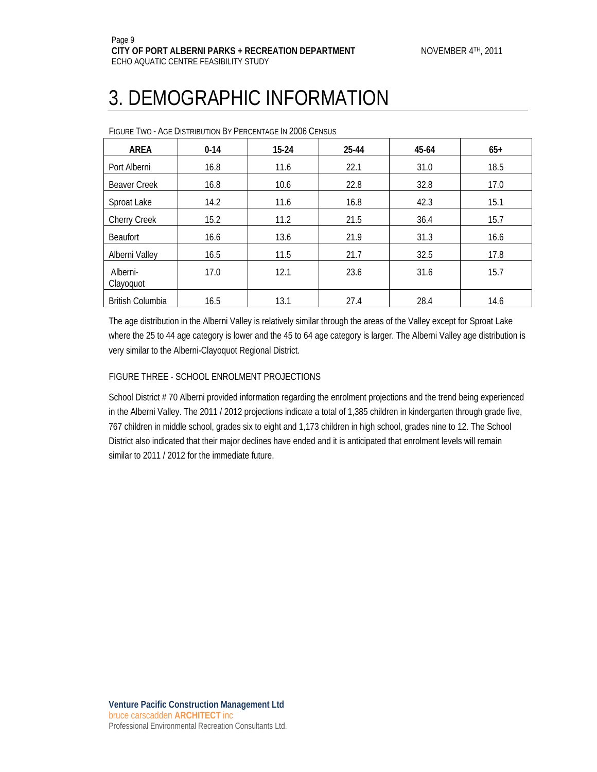### 3. DEMOGRAPHIC INFORMATION

| <b>I ROLL I NO. THOL DISTRIBUTION BT LEROLNITIOL IN LOOD OLINSUS</b> |          |           |       |       |       |  |
|----------------------------------------------------------------------|----------|-----------|-------|-------|-------|--|
| <b>AREA</b>                                                          | $0 - 14$ | $15 - 24$ | 25-44 | 45-64 | $65+$ |  |
| Port Alberni                                                         | 16.8     | 11.6      | 22.1  | 31.0  | 18.5  |  |
| <b>Beaver Creek</b>                                                  | 16.8     | 10.6      | 22.8  | 32.8  | 17.0  |  |
| Sproat Lake                                                          | 14.2     | 11.6      | 16.8  | 42.3  | 15.1  |  |
| <b>Cherry Creek</b>                                                  | 15.2     | 11.2      | 21.5  | 36.4  | 15.7  |  |
| <b>Beaufort</b>                                                      | 16.6     | 13.6      | 21.9  | 31.3  | 16.6  |  |
| Alberni Vallev                                                       | 16.5     | 11.5      | 21.7  | 32.5  | 17.8  |  |
| Alberni-<br>Clayoquot                                                | 17.0     | 12.1      | 23.6  | 31.6  | 15.7  |  |
| <b>British Columbia</b>                                              | 16.5     | 13.1      | 27.4  | 28.4  | 14.6  |  |

FIGURE TWO - AGE DISTRIBUTION BY PERCENTAGE IN 2006 CENSUS

The age distribution in the Alberni Valley is relatively similar through the areas of the Valley except for Sproat Lake where the 25 to 44 age category is lower and the 45 to 64 age category is larger. The Alberni Valley age distribution is very similar to the Alberni-Clayoquot Regional District.

#### FIGURE THREE - SCHOOL ENROLMENT PROJECTIONS

School District # 70 Alberni provided information regarding the enrolment projections and the trend being experienced in the Alberni Valley. The 2011 / 2012 projections indicate a total of 1,385 children in kindergarten through grade five, 767 children in middle school, grades six to eight and 1,173 children in high school, grades nine to 12. The School District also indicated that their major declines have ended and it is anticipated that enrolment levels will remain similar to 2011 / 2012 for the immediate future.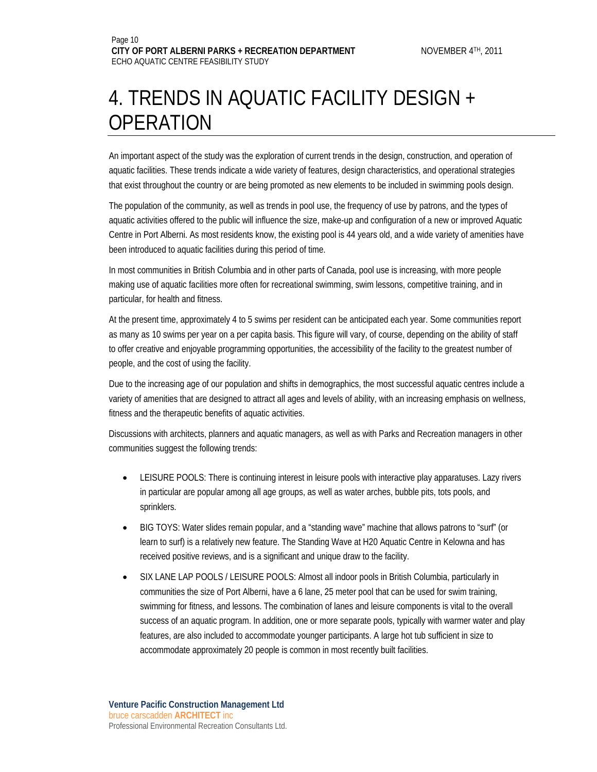### 4. TRENDS IN AQUATIC FACILITY DESIGN + **OPERATION**

An important aspect of the study was the exploration of current trends in the design, construction, and operation of aquatic facilities. These trends indicate a wide variety of features, design characteristics, and operational strategies that exist throughout the country or are being promoted as new elements to be included in swimming pools design.

The population of the community, as well as trends in pool use, the frequency of use by patrons, and the types of aquatic activities offered to the public will influence the size, make-up and configuration of a new or improved Aquatic Centre in Port Alberni. As most residents know, the existing pool is 44 years old, and a wide variety of amenities have been introduced to aquatic facilities during this period of time.

In most communities in British Columbia and in other parts of Canada, pool use is increasing, with more people making use of aquatic facilities more often for recreational swimming, swim lessons, competitive training, and in particular, for health and fitness.

At the present time, approximately 4 to 5 swims per resident can be anticipated each year. Some communities report as many as 10 swims per year on a per capita basis. This figure will vary, of course, depending on the ability of staff to offer creative and enjoyable programming opportunities, the accessibility of the facility to the greatest number of people, and the cost of using the facility.

Due to the increasing age of our population and shifts in demographics, the most successful aquatic centres include a variety of amenities that are designed to attract all ages and levels of ability, with an increasing emphasis on wellness, fitness and the therapeutic benefits of aquatic activities.

Discussions with architects, planners and aquatic managers, as well as with Parks and Recreation managers in other communities suggest the following trends:

- LEISURE POOLS: There is continuing interest in leisure pools with interactive play apparatuses. Lazy rivers in particular are popular among all age groups, as well as water arches, bubble pits, tots pools, and sprinklers.
- BIG TOYS: Water slides remain popular, and a "standing wave" machine that allows patrons to "surf" (or learn to surf) is a relatively new feature. The Standing Wave at H20 Aquatic Centre in Kelowna and has received positive reviews, and is a significant and unique draw to the facility.
- SIX LANE LAP POOLS / LEISURE POOLS: Almost all indoor pools in British Columbia, particularly in communities the size of Port Alberni, have a 6 lane, 25 meter pool that can be used for swim training, swimming for fitness, and lessons. The combination of lanes and leisure components is vital to the overall success of an aquatic program. In addition, one or more separate pools, typically with warmer water and play features, are also included to accommodate younger participants. A large hot tub sufficient in size to accommodate approximately 20 people is common in most recently built facilities.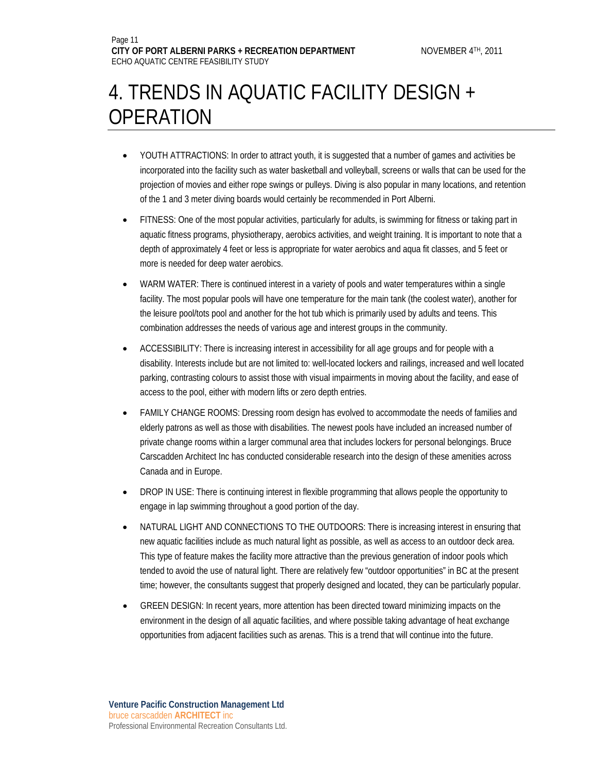### 4. TRENDS IN AQUATIC FACILITY DESIGN + **OPERATION**

- YOUTH ATTRACTIONS: In order to attract youth, it is suggested that a number of games and activities be incorporated into the facility such as water basketball and volleyball, screens or walls that can be used for the projection of movies and either rope swings or pulleys. Diving is also popular in many locations, and retention of the 1 and 3 meter diving boards would certainly be recommended in Port Alberni.
- FITNESS: One of the most popular activities, particularly for adults, is swimming for fitness or taking part in aquatic fitness programs, physiotherapy, aerobics activities, and weight training. It is important to note that a depth of approximately 4 feet or less is appropriate for water aerobics and aqua fit classes, and 5 feet or more is needed for deep water aerobics.
- WARM WATER: There is continued interest in a variety of pools and water temperatures within a single facility. The most popular pools will have one temperature for the main tank (the coolest water), another for the leisure pool/tots pool and another for the hot tub which is primarily used by adults and teens. This combination addresses the needs of various age and interest groups in the community.
- ACCESSIBILITY: There is increasing interest in accessibility for all age groups and for people with a disability. Interests include but are not limited to: well-located lockers and railings, increased and well located parking, contrasting colours to assist those with visual impairments in moving about the facility, and ease of access to the pool, either with modern lifts or zero depth entries.
- FAMILY CHANGE ROOMS: Dressing room design has evolved to accommodate the needs of families and elderly patrons as well as those with disabilities. The newest pools have included an increased number of private change rooms within a larger communal area that includes lockers for personal belongings. Bruce Carscadden Architect Inc has conducted considerable research into the design of these amenities across Canada and in Europe.
- DROP IN USE: There is continuing interest in flexible programming that allows people the opportunity to engage in lap swimming throughout a good portion of the day.
- NATURAL LIGHT AND CONNECTIONS TO THE OUTDOORS: There is increasing interest in ensuring that new aquatic facilities include as much natural light as possible, as well as access to an outdoor deck area. This type of feature makes the facility more attractive than the previous generation of indoor pools which tended to avoid the use of natural light. There are relatively few "outdoor opportunities" in BC at the present time; however, the consultants suggest that properly designed and located, they can be particularly popular.
- GREEN DESIGN: In recent years, more attention has been directed toward minimizing impacts on the environment in the design of all aquatic facilities, and where possible taking advantage of heat exchange opportunities from adjacent facilities such as arenas. This is a trend that will continue into the future.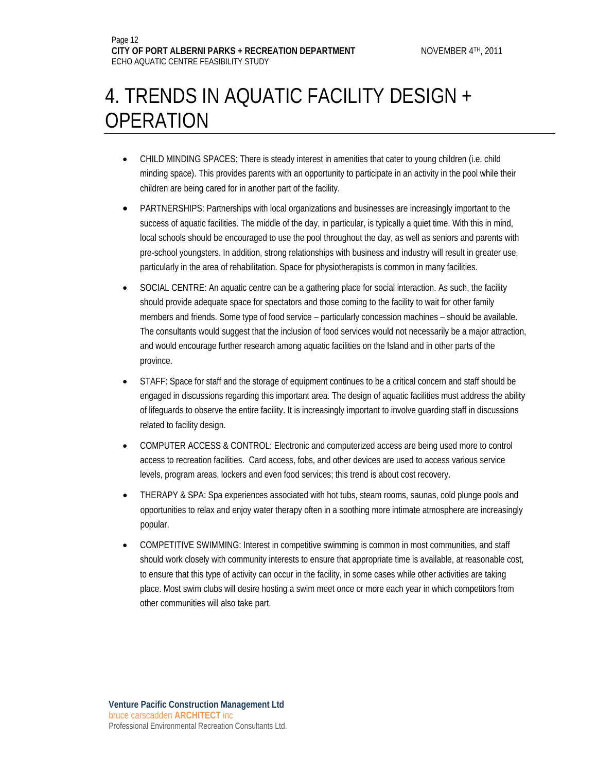### 4. TRENDS IN AQUATIC FACILITY DESIGN + OPERATION

- CHILD MINDING SPACES: There is steady interest in amenities that cater to young children (i.e. child minding space). This provides parents with an opportunity to participate in an activity in the pool while their children are being cared for in another part of the facility.
- PARTNERSHIPS: Partnerships with local organizations and businesses are increasingly important to the success of aquatic facilities. The middle of the day, in particular, is typically a quiet time. With this in mind, local schools should be encouraged to use the pool throughout the day, as well as seniors and parents with pre-school youngsters. In addition, strong relationships with business and industry will result in greater use, particularly in the area of rehabilitation. Space for physiotherapists is common in many facilities.
- SOCIAL CENTRE: An aquatic centre can be a gathering place for social interaction. As such, the facility should provide adequate space for spectators and those coming to the facility to wait for other family members and friends. Some type of food service – particularly concession machines – should be available. The consultants would suggest that the inclusion of food services would not necessarily be a major attraction, and would encourage further research among aquatic facilities on the Island and in other parts of the province.
- STAFF: Space for staff and the storage of equipment continues to be a critical concern and staff should be engaged in discussions regarding this important area. The design of aquatic facilities must address the ability of lifeguards to observe the entire facility. It is increasingly important to involve guarding staff in discussions related to facility design.
- COMPUTER ACCESS & CONTROL: Electronic and computerized access are being used more to control access to recreation facilities. Card access, fobs, and other devices are used to access various service levels, program areas, lockers and even food services; this trend is about cost recovery.
- THERAPY & SPA: Spa experiences associated with hot tubs, steam rooms, saunas, cold plunge pools and opportunities to relax and enjoy water therapy often in a soothing more intimate atmosphere are increasingly popular.
- COMPETITIVE SWIMMING: Interest in competitive swimming is common in most communities, and staff should work closely with community interests to ensure that appropriate time is available, at reasonable cost, to ensure that this type of activity can occur in the facility, in some cases while other activities are taking place. Most swim clubs will desire hosting a swim meet once or more each year in which competitors from other communities will also take part.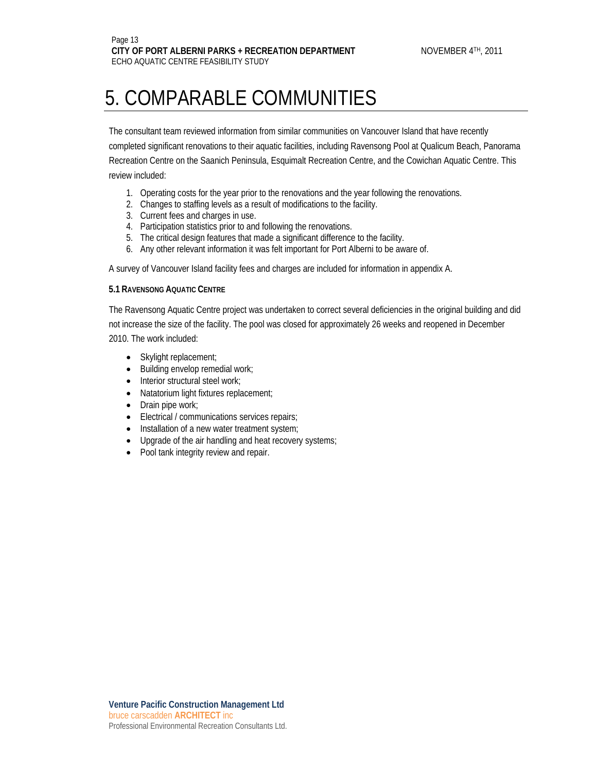The consultant team reviewed information from similar communities on Vancouver Island that have recently completed significant renovations to their aquatic facilities, including Ravensong Pool at Qualicum Beach, Panorama Recreation Centre on the Saanich Peninsula, Esquimalt Recreation Centre, and the Cowichan Aquatic Centre. This review included:

- 1. Operating costs for the year prior to the renovations and the year following the renovations.
- 2. Changes to staffing levels as a result of modifications to the facility.
- 3. Current fees and charges in use.
- 4. Participation statistics prior to and following the renovations.
- 5. The critical design features that made a significant difference to the facility.
- 6. Any other relevant information it was felt important for Port Alberni to be aware of.

A survey of Vancouver Island facility fees and charges are included for information in appendix A.

#### **5.1 RAVENSONG AQUATIC CENTRE**

The Ravensong Aquatic Centre project was undertaken to correct several deficiencies in the original building and did not increase the size of the facility. The pool was closed for approximately 26 weeks and reopened in December 2010. The work included:

- Skylight replacement;
- Building envelop remedial work;
- Interior structural steel work;
- Natatorium light fixtures replacement;
- Drain pipe work;
- Electrical / communications services repairs;
- Installation of a new water treatment system;
- Upgrade of the air handling and heat recovery systems;
- Pool tank integrity review and repair.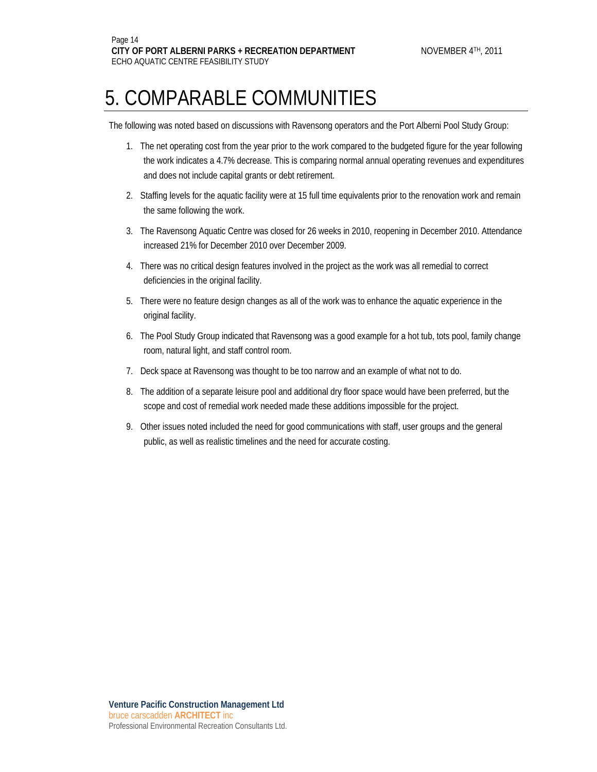The following was noted based on discussions with Ravensong operators and the Port Alberni Pool Study Group:

- 1. The net operating cost from the year prior to the work compared to the budgeted figure for the year following the work indicates a 4.7% decrease. This is comparing normal annual operating revenues and expenditures and does not include capital grants or debt retirement.
- 2. Staffing levels for the aquatic facility were at 15 full time equivalents prior to the renovation work and remain the same following the work.
- 3. The Ravensong Aquatic Centre was closed for 26 weeks in 2010, reopening in December 2010. Attendance increased 21% for December 2010 over December 2009.
- 4. There was no critical design features involved in the project as the work was all remedial to correct deficiencies in the original facility.
- 5. There were no feature design changes as all of the work was to enhance the aquatic experience in the original facility.
- 6. The Pool Study Group indicated that Ravensong was a good example for a hot tub, tots pool, family change room, natural light, and staff control room.
- 7. Deck space at Ravensong was thought to be too narrow and an example of what not to do.
- 8. The addition of a separate leisure pool and additional dry floor space would have been preferred, but the scope and cost of remedial work needed made these additions impossible for the project.
- 9. Other issues noted included the need for good communications with staff, user groups and the general public, as well as realistic timelines and the need for accurate costing.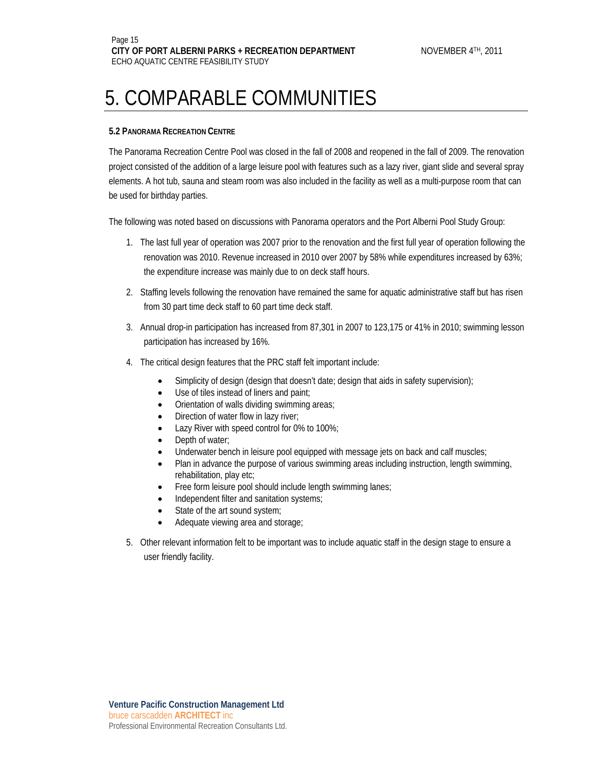#### **5.2 PANORAMA RECREATION CENTRE**

The Panorama Recreation Centre Pool was closed in the fall of 2008 and reopened in the fall of 2009. The renovation project consisted of the addition of a large leisure pool with features such as a lazy river, giant slide and several spray elements. A hot tub, sauna and steam room was also included in the facility as well as a multi-purpose room that can be used for birthday parties.

The following was noted based on discussions with Panorama operators and the Port Alberni Pool Study Group:

- 1. The last full year of operation was 2007 prior to the renovation and the first full year of operation following the renovation was 2010. Revenue increased in 2010 over 2007 by 58% while expenditures increased by 63%; the expenditure increase was mainly due to on deck staff hours.
- 2. Staffing levels following the renovation have remained the same for aquatic administrative staff but has risen from 30 part time deck staff to 60 part time deck staff.
- 3. Annual drop-in participation has increased from 87,301 in 2007 to 123,175 or 41% in 2010; swimming lesson participation has increased by 16%.
- 4. The critical design features that the PRC staff felt important include:
	- Simplicity of design (design that doesn't date; design that aids in safety supervision);
	- Use of tiles instead of liners and paint;
	- Orientation of walls dividing swimming areas;
	- Direction of water flow in lazy river;
	- Lazy River with speed control for 0% to 100%;
	- Depth of water;
	- Underwater bench in leisure pool equipped with message jets on back and calf muscles;
	- Plan in advance the purpose of various swimming areas including instruction, length swimming, rehabilitation, play etc;
	- Free form leisure pool should include length swimming lanes;
	- Independent filter and sanitation systems;
	- State of the art sound system;
	- Adequate viewing area and storage;
- 5. Other relevant information felt to be important was to include aquatic staff in the design stage to ensure a user friendly facility.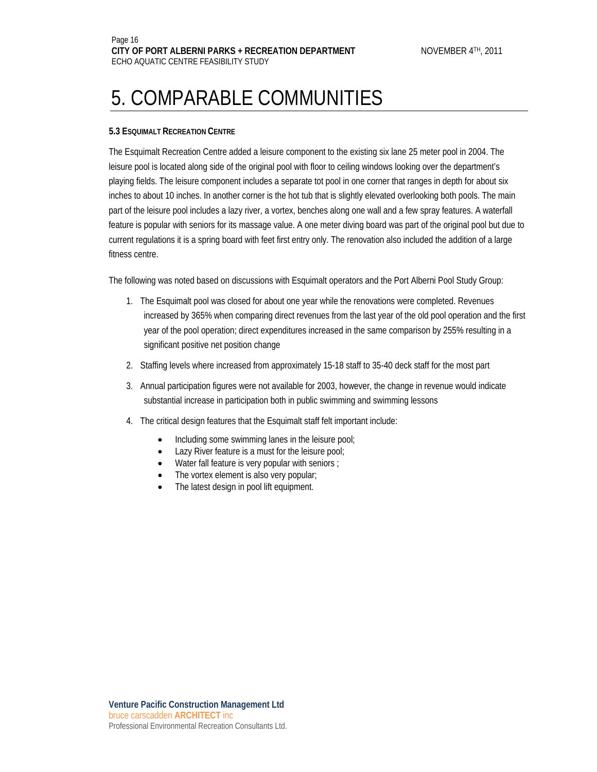#### **5.3 ESQUIMALT RECREATION CENTRE**

The Esquimalt Recreation Centre added a leisure component to the existing six lane 25 meter pool in 2004. The leisure pool is located along side of the original pool with floor to ceiling windows looking over the department's playing fields. The leisure component includes a separate tot pool in one corner that ranges in depth for about six inches to about 10 inches. In another corner is the hot tub that is slightly elevated overlooking both pools. The main part of the leisure pool includes a lazy river, a vortex, benches along one wall and a few spray features. A waterfall feature is popular with seniors for its massage value. A one meter diving board was part of the original pool but due to current regulations it is a spring board with feet first entry only. The renovation also included the addition of a large fitness centre.

The following was noted based on discussions with Esquimalt operators and the Port Alberni Pool Study Group:

- 1. The Esquimalt pool was closed for about one year while the renovations were completed. Revenues increased by 365% when comparing direct revenues from the last year of the old pool operation and the first year of the pool operation; direct expenditures increased in the same comparison by 255% resulting in a significant positive net position change
- 2. Staffing levels where increased from approximately 15-18 staff to 35-40 deck staff for the most part
- 3. Annual participation figures were not available for 2003, however, the change in revenue would indicate substantial increase in participation both in public swimming and swimming lessons
- 4. The critical design features that the Esquimalt staff felt important include:
	- Including some swimming lanes in the leisure pool;
	- Lazy River feature is a must for the leisure pool;
	- Water fall feature is very popular with seniors ;
	- The vortex element is also very popular;
	- The latest design in pool lift equipment.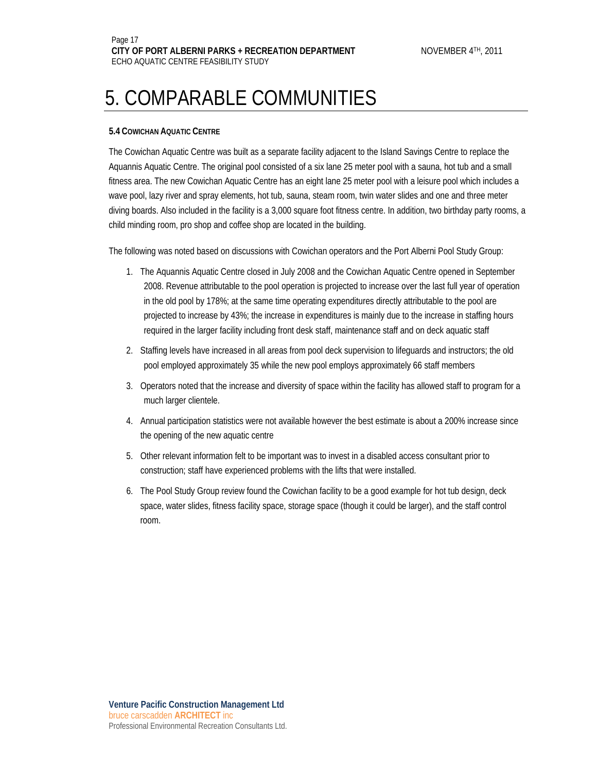#### **5.4 COWICHAN AQUATIC CENTRE**

The Cowichan Aquatic Centre was built as a separate facility adjacent to the Island Savings Centre to replace the Aquannis Aquatic Centre. The original pool consisted of a six lane 25 meter pool with a sauna, hot tub and a small fitness area. The new Cowichan Aquatic Centre has an eight lane 25 meter pool with a leisure pool which includes a wave pool, lazy river and spray elements, hot tub, sauna, steam room, twin water slides and one and three meter diving boards. Also included in the facility is a 3,000 square foot fitness centre. In addition, two birthday party rooms, a child minding room, pro shop and coffee shop are located in the building.

The following was noted based on discussions with Cowichan operators and the Port Alberni Pool Study Group:

- 1. The Aquannis Aquatic Centre closed in July 2008 and the Cowichan Aquatic Centre opened in September 2008. Revenue attributable to the pool operation is projected to increase over the last full year of operation in the old pool by 178%; at the same time operating expenditures directly attributable to the pool are projected to increase by 43%; the increase in expenditures is mainly due to the increase in staffing hours required in the larger facility including front desk staff, maintenance staff and on deck aquatic staff
- 2. Staffing levels have increased in all areas from pool deck supervision to lifeguards and instructors; the old pool employed approximately 35 while the new pool employs approximately 66 staff members
- 3. Operators noted that the increase and diversity of space within the facility has allowed staff to program for a much larger clientele.
- 4. Annual participation statistics were not available however the best estimate is about a 200% increase since the opening of the new aquatic centre
- 5. Other relevant information felt to be important was to invest in a disabled access consultant prior to construction; staff have experienced problems with the lifts that were installed.
- 6. The Pool Study Group review found the Cowichan facility to be a good example for hot tub design, deck space, water slides, fitness facility space, storage space (though it could be larger), and the staff control room.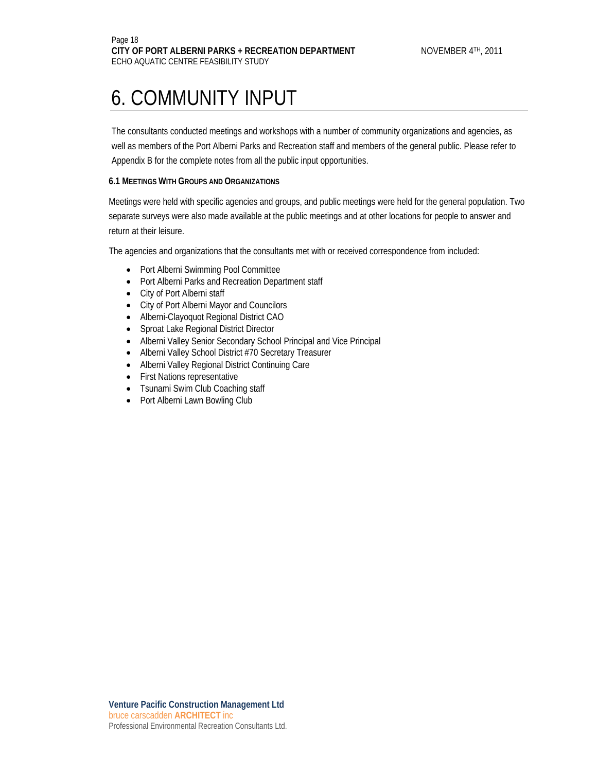The consultants conducted meetings and workshops with a number of community organizations and agencies, as well as members of the Port Alberni Parks and Recreation staff and members of the general public. Please refer to Appendix B for the complete notes from all the public input opportunities.

#### **6.1 MEETINGS WITH GROUPS AND ORGANIZATIONS**

Meetings were held with specific agencies and groups, and public meetings were held for the general population. Two separate surveys were also made available at the public meetings and at other locations for people to answer and return at their leisure.

The agencies and organizations that the consultants met with or received correspondence from included:

- Port Alberni Swimming Pool Committee
- Port Alberni Parks and Recreation Department staff
- City of Port Alberni staff
- City of Port Alberni Mayor and Councilors
- Alberni-Clayoquot Regional District CAO
- Sproat Lake Regional District Director
- Alberni Valley Senior Secondary School Principal and Vice Principal
- Alberni Valley School District #70 Secretary Treasurer
- Alberni Valley Regional District Continuing Care
- First Nations representative
- Tsunami Swim Club Coaching staff
- Port Alberni Lawn Bowling Club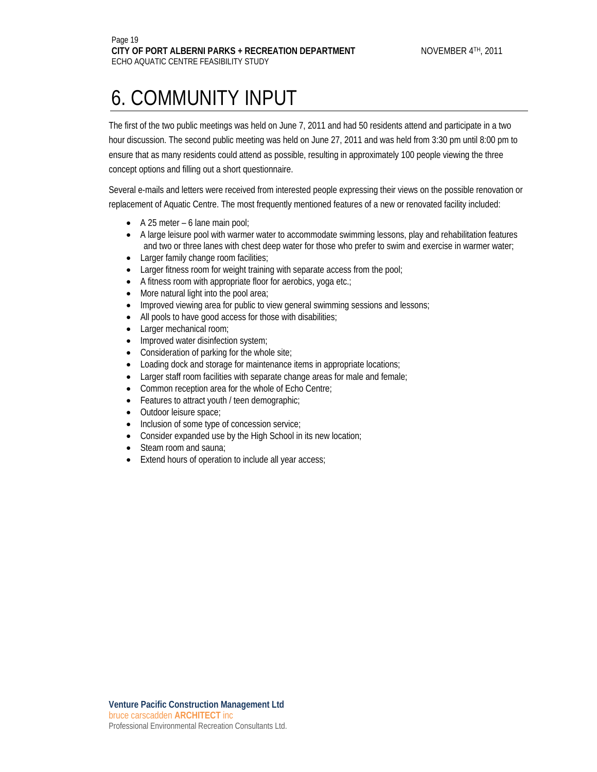The first of the two public meetings was held on June 7, 2011 and had 50 residents attend and participate in a two hour discussion. The second public meeting was held on June 27, 2011 and was held from 3:30 pm until 8:00 pm to ensure that as many residents could attend as possible, resulting in approximately 100 people viewing the three concept options and filling out a short questionnaire.

Several e-mails and letters were received from interested people expressing their views on the possible renovation or replacement of Aquatic Centre. The most frequently mentioned features of a new or renovated facility included:

- A 25 meter 6 lane main pool;
- A large leisure pool with warmer water to accommodate swimming lessons, play and rehabilitation features and two or three lanes with chest deep water for those who prefer to swim and exercise in warmer water;
- Larger family change room facilities;
- Larger fitness room for weight training with separate access from the pool;
- A fitness room with appropriate floor for aerobics, yoga etc.;
- More natural light into the pool area;
- Improved viewing area for public to view general swimming sessions and lessons;
- All pools to have good access for those with disabilities;
- Larger mechanical room;
- Improved water disinfection system;
- Consideration of parking for the whole site;
- Loading dock and storage for maintenance items in appropriate locations;
- Larger staff room facilities with separate change areas for male and female;
- Common reception area for the whole of Echo Centre;
- Features to attract youth / teen demographic;
- Outdoor leisure space;
- Inclusion of some type of concession service;
- Consider expanded use by the High School in its new location;
- Steam room and sauna:
- Extend hours of operation to include all year access;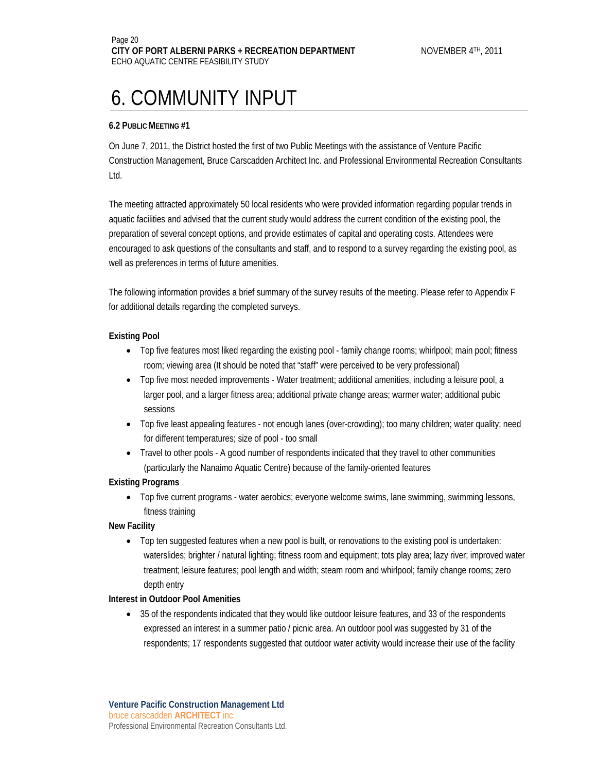#### **6.2 PUBLIC MEETING #1**

On June 7, 2011, the District hosted the first of two Public Meetings with the assistance of Venture Pacific Construction Management, Bruce Carscadden Architect Inc. and Professional Environmental Recreation Consultants Ltd.

The meeting attracted approximately 50 local residents who were provided information regarding popular trends in aquatic facilities and advised that the current study would address the current condition of the existing pool, the preparation of several concept options, and provide estimates of capital and operating costs. Attendees were encouraged to ask questions of the consultants and staff, and to respond to a survey regarding the existing pool, as well as preferences in terms of future amenities.

The following information provides a brief summary of the survey results of the meeting. Please refer to Appendix F for additional details regarding the completed surveys.

#### **Existing Pool**

- Top five features most liked regarding the existing pool family change rooms; whirlpool; main pool; fitness room; viewing area (It should be noted that "staff" were perceived to be very professional)
- Top five most needed improvements Water treatment; additional amenities, including a leisure pool, a larger pool, and a larger fitness area; additional private change areas; warmer water; additional pubic sessions
- Top five least appealing features not enough lanes (over-crowding); too many children; water quality; need for different temperatures; size of pool - too small
- Travel to other pools A good number of respondents indicated that they travel to other communities (particularly the Nanaimo Aquatic Centre) because of the family-oriented features

#### **Existing Programs**

• Top five current programs - water aerobics; everyone welcome swims, lane swimming, swimming lessons, fitness training

#### **New Facility**

• Top ten suggested features when a new pool is built, or renovations to the existing pool is undertaken: waterslides; brighter / natural lighting; fitness room and equipment; tots play area; lazy river; improved water treatment; leisure features; pool length and width; steam room and whirlpool; family change rooms; zero depth entry

#### **Interest in Outdoor Pool Amenities**

• 35 of the respondents indicated that they would like outdoor leisure features, and 33 of the respondents expressed an interest in a summer patio / picnic area. An outdoor pool was suggested by 31 of the respondents; 17 respondents suggested that outdoor water activity would increase their use of the facility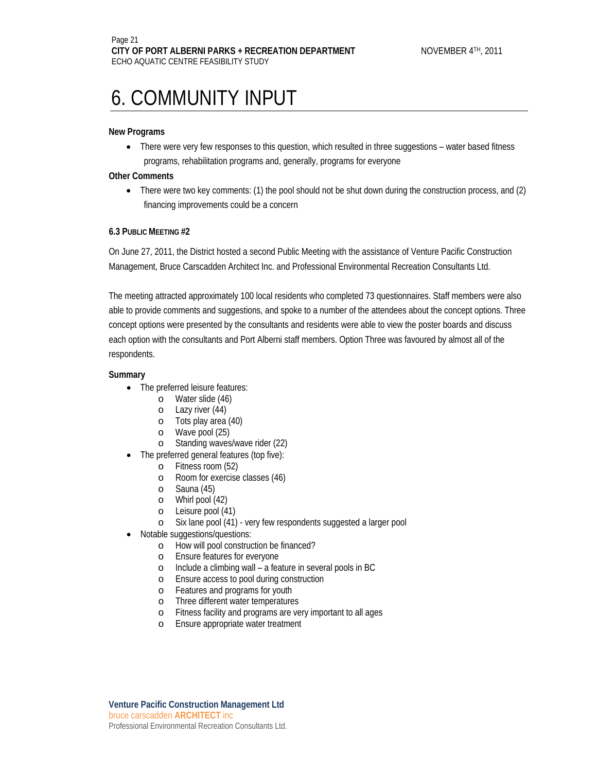#### **New Programs**

• There were very few responses to this question, which resulted in three suggestions – water based fitness programs, rehabilitation programs and, generally, programs for everyone

#### **Other Comments**

• There were two key comments: (1) the pool should not be shut down during the construction process, and (2) financing improvements could be a concern

#### **6.3 PUBLIC MEETING #2**

On June 27, 2011, the District hosted a second Public Meeting with the assistance of Venture Pacific Construction Management, Bruce Carscadden Architect Inc. and Professional Environmental Recreation Consultants Ltd.

The meeting attracted approximately 100 local residents who completed 73 questionnaires. Staff members were also able to provide comments and suggestions, and spoke to a number of the attendees about the concept options. Three concept options were presented by the consultants and residents were able to view the poster boards and discuss each option with the consultants and Port Alberni staff members. Option Three was favoured by almost all of the respondents.

#### **Summary**

- The preferred leisure features:
	- o Water slide (46)
	- o Lazy river (44)
	- o Tots play area (40)
	- o Wave pool (25)
	- o Standing waves/wave rider (22)
- The preferred general features (top five):
	- o Fitness room (52)
	- o Room for exercise classes (46)
	- o Sauna (45)
	- o Whirl pool (42)
	- o Leisure pool (41)
	- o Six lane pool (41) very few respondents suggested a larger pool
- Notable suggestions/questions:
	- o How will pool construction be financed?
	- o Ensure features for everyone
	- o Include a climbing wall a feature in several pools in BC
	- o Ensure access to pool during construction
	- o Features and programs for youth
	- o Three different water temperatures
	- o Fitness facility and programs are very important to all ages
	- o Ensure appropriate water treatment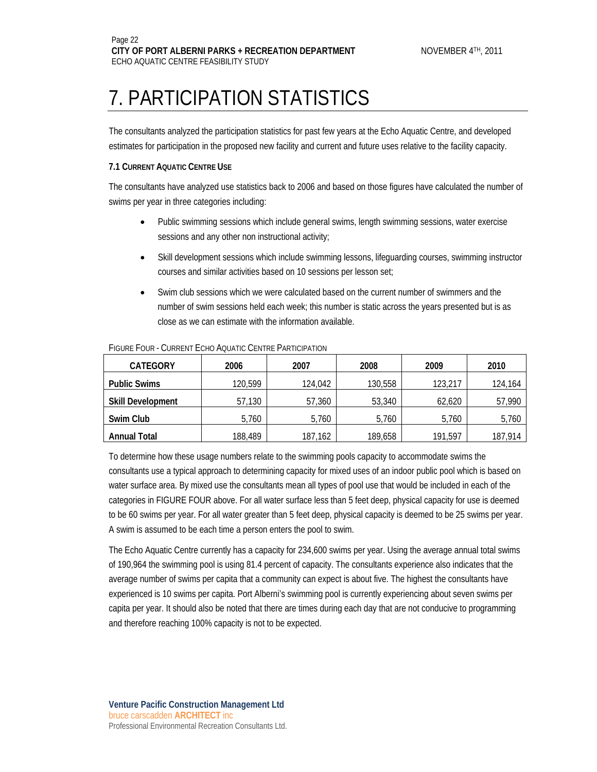### 7. PARTICIPATION STATISTICS

The consultants analyzed the participation statistics for past few years at the Echo Aquatic Centre, and developed estimates for participation in the proposed new facility and current and future uses relative to the facility capacity.

#### **7.1 CURRENT AQUATIC CENTRE USE**

The consultants have analyzed use statistics back to 2006 and based on those figures have calculated the number of swims per year in three categories including:

- Public swimming sessions which include general swims, length swimming sessions, water exercise sessions and any other non instructional activity;
- Skill development sessions which include swimming lessons, lifeguarding courses, swimming instructor courses and similar activities based on 10 sessions per lesson set;
- Swim club sessions which we were calculated based on the current number of swimmers and the number of swim sessions held each week; this number is static across the years presented but is as close as we can estimate with the information available.

| <b>CATEGORY</b>          | 2006    | 2007    | 2008    | 2009    | 2010    |
|--------------------------|---------|---------|---------|---------|---------|
| <b>Public Swims</b>      | 120,599 | 124,042 | 130,558 | 123,217 | 124,164 |
| <b>Skill Development</b> | 57,130  | 57,360  | 53,340  | 62,620  | 57,990  |
| Swim Club                | 5,760   | 5.760   | 5,760   | 5,760   | 5,760   |
| <b>Annual Total</b>      | 188,489 | 187,162 | 189,658 | 191,597 | 187,914 |

#### FIGURE FOUR - CURRENT ECHO AQUATIC CENTRE PARTICIPATION

To determine how these usage numbers relate to the swimming pools capacity to accommodate swims the consultants use a typical approach to determining capacity for mixed uses of an indoor public pool which is based on water surface area. By mixed use the consultants mean all types of pool use that would be included in each of the categories in FIGURE FOUR above. For all water surface less than 5 feet deep, physical capacity for use is deemed to be 60 swims per year. For all water greater than 5 feet deep, physical capacity is deemed to be 25 swims per year. A swim is assumed to be each time a person enters the pool to swim.

The Echo Aquatic Centre currently has a capacity for 234,600 swims per year. Using the average annual total swims of 190,964 the swimming pool is using 81.4 percent of capacity. The consultants experience also indicates that the average number of swims per capita that a community can expect is about five. The highest the consultants have experienced is 10 swims per capita. Port Alberni's swimming pool is currently experiencing about seven swims per capita per year. It should also be noted that there are times during each day that are not conducive to programming and therefore reaching 100% capacity is not to be expected.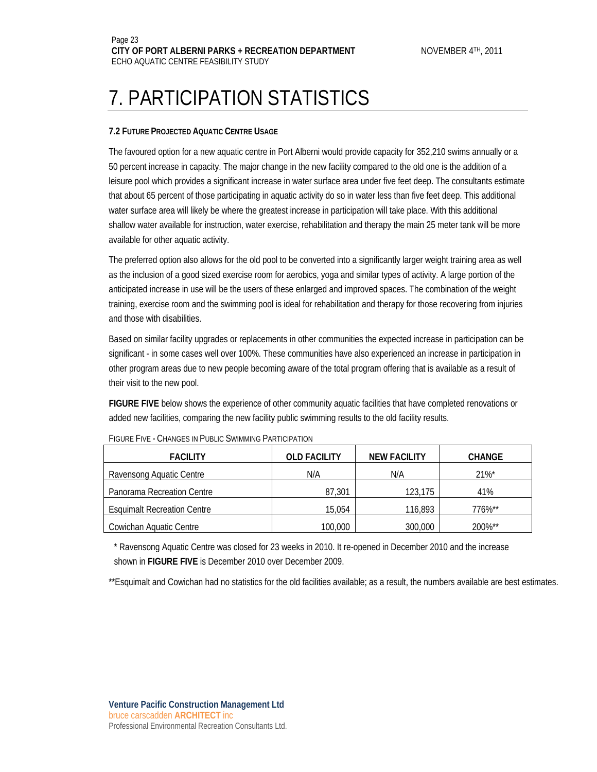### 7. PARTICIPATION STATISTICS

#### **7.2 FUTURE PROJECTED AQUATIC CENTRE USAGE**

The favoured option for a new aquatic centre in Port Alberni would provide capacity for 352,210 swims annually or a 50 percent increase in capacity. The major change in the new facility compared to the old one is the addition of a leisure pool which provides a significant increase in water surface area under five feet deep. The consultants estimate that about 65 percent of those participating in aquatic activity do so in water less than five feet deep. This additional water surface area will likely be where the greatest increase in participation will take place. With this additional shallow water available for instruction, water exercise, rehabilitation and therapy the main 25 meter tank will be more available for other aquatic activity.

The preferred option also allows for the old pool to be converted into a significantly larger weight training area as well as the inclusion of a good sized exercise room for aerobics, yoga and similar types of activity. A large portion of the anticipated increase in use will be the users of these enlarged and improved spaces. The combination of the weight training, exercise room and the swimming pool is ideal for rehabilitation and therapy for those recovering from injuries and those with disabilities.

Based on similar facility upgrades or replacements in other communities the expected increase in participation can be significant - in some cases well over 100%. These communities have also experienced an increase in participation in other program areas due to new people becoming aware of the total program offering that is available as a result of their visit to the new pool.

**FIGURE FIVE** below shows the experience of other community aquatic facilities that have completed renovations or added new facilities, comparing the new facility public swimming results to the old facility results.

| <b>FACILITY</b>                    | <b>OLD FACILITY</b> | <b>NEW FACILITY</b> | <b>CHANGE</b>         |
|------------------------------------|---------------------|---------------------|-----------------------|
| Ravensong Aquatic Centre           | N/A                 | N/A                 | $21\%$ <sup>*</sup>   |
| Panorama Recreation Centre         | 87.301              | 123.175             | 41%                   |
| <b>Esquimalt Recreation Centre</b> | 15.054              | 116,893             | $776\%$ <sup>**</sup> |
| Cowichan Aquatic Centre            | 100.000             | 300,000             | 200%**                |

FIGURE FIVE - CHANGES IN PUBLIC SWIMMING PARTICIPATION

\* Ravensong Aquatic Centre was closed for 23 weeks in 2010. It re-opened in December 2010 and the increase shown in **FIGURE FIVE** is December 2010 over December 2009.

\*\*Esquimalt and Cowichan had no statistics for the old facilities available; as a result, the numbers available are best estimates.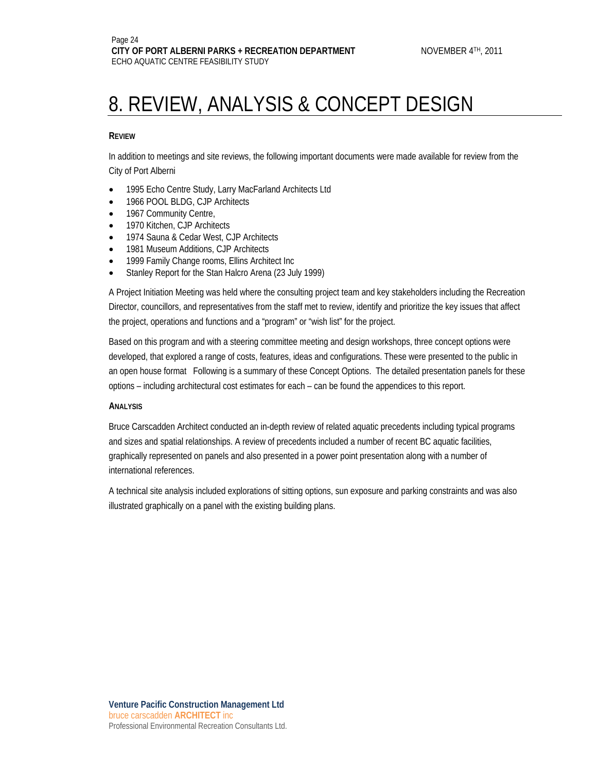#### **REVIEW**

In addition to meetings and site reviews, the following important documents were made available for review from the City of Port Alberni

- 1995 Echo Centre Study, Larry MacFarland Architects Ltd
- 1966 POOL BLDG, CJP Architects
- 1967 Community Centre,
- 1970 Kitchen, CJP Architects
- 1974 Sauna & Cedar West, CJP Architects
- 1981 Museum Additions, CJP Architects
- 1999 Family Change rooms, Ellins Architect Inc
- Stanley Report for the Stan Halcro Arena (23 July 1999)

A Project Initiation Meeting was held where the consulting project team and key stakeholders including the Recreation Director, councillors, and representatives from the staff met to review, identify and prioritize the key issues that affect the project, operations and functions and a "program" or "wish list" for the project.

Based on this program and with a steering committee meeting and design workshops, three concept options were developed, that explored a range of costs, features, ideas and configurations. These were presented to the public in an open house format Following is a summary of these Concept Options. The detailed presentation panels for these options – including architectural cost estimates for each – can be found the appendices to this report.

#### **ANALYSIS**

Bruce Carscadden Architect conducted an in-depth review of related aquatic precedents including typical programs and sizes and spatial relationships. A review of precedents included a number of recent BC aquatic facilities, graphically represented on panels and also presented in a power point presentation along with a number of international references.

A technical site analysis included explorations of sitting options, sun exposure and parking constraints and was also illustrated graphically on a panel with the existing building plans.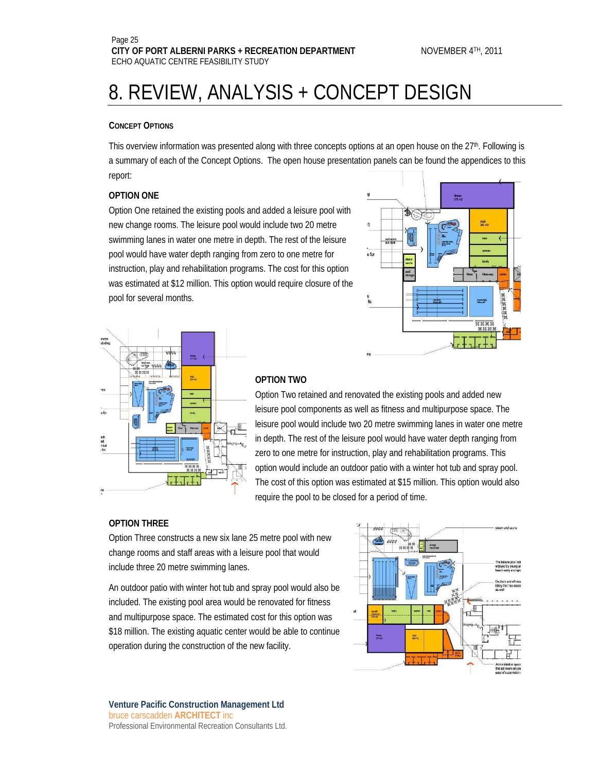#### **CONCEPT OPTIONS**

This overview information was presented along with three concepts options at an open house on the 27<sup>th</sup>. Following is a summary of each of the Concept Options. The open house presentation panels can be found the appendices to this report:

#### **OPTION ONE**

Option One retained the existing pools and added a leisure pool with new change rooms. The leisure pool would include two 20 metre swimming lanes in water one metre in depth. The rest of the leisure pool would have water depth ranging from zero to one metre for instruction, play and rehabilitation programs. The cost for this option was estimated at \$12 million. This option would require closure of the pool for several months.





#### **OPTION TWO**

Option Two retained and renovated the existing pools and added new leisure pool components as well as fitness and multipurpose space. The leisure pool would include two 20 metre swimming lanes in water one metre in depth. The rest of the leisure pool would have water depth ranging from zero to one metre for instruction, play and rehabilitation programs. This option would include an outdoor patio with a winter hot tub and spray pool. The cost of this option was estimated at \$15 million. This option would also require the pool to be closed for a period of time.

#### **OPTION THREE**

Option Three constructs a new six lane 25 metre pool with new change rooms and staff areas with a leisure pool that would include three 20 metre swimming lanes.

An outdoor patio with winter hot tub and spray pool would also be included. The existing pool area would be renovated for fitness and multipurpose space. The estimated cost for this option was \$18 million. The existing aquatic center would be able to continue operation during the construction of the new facility.

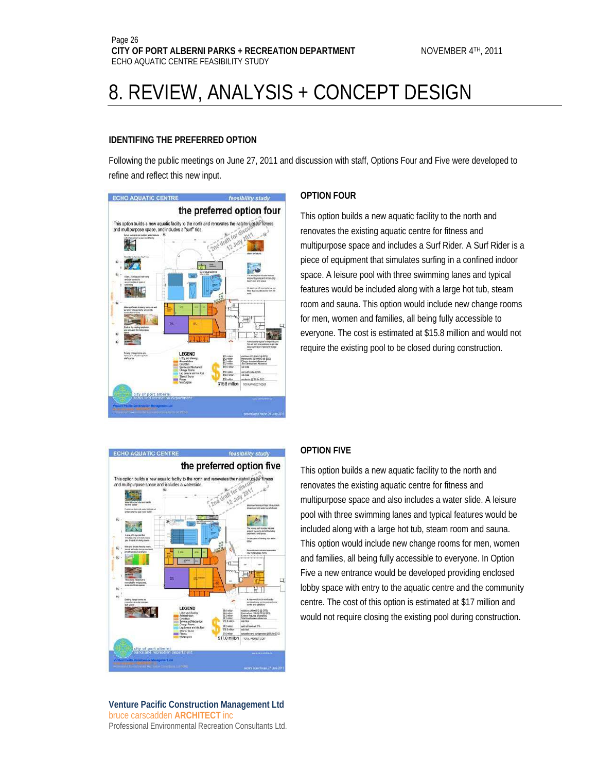#### **IDENTIFING THE PREFERRED OPTION**

Following the public meetings on June 27, 2011 and discussion with staff, Options Four and Five were developed to refine and reflect this new input.



#### **OPTION FOUR**

This option builds a new aquatic facility to the north and renovates the existing aquatic centre for fitness and multipurpose space and includes a Surf Rider. A Surf Rider is a piece of equipment that simulates surfing in a confined indoor space. A leisure pool with three swimming lanes and typical features would be included along with a large hot tub, steam room and sauna. This option would include new change rooms for men, women and families, all being fully accessible to everyone. The cost is estimated at \$15.8 million and would not require the existing pool to be closed during construction.



#### **Venture Pacific Construction Management Ltd** bruce carscadden **ARCHITECT** inc Professional Environmental Recreation Consultants Ltd.

#### **OPTION FIVE**

This option builds a new aquatic facility to the north and renovates the existing aquatic centre for fitness and multipurpose space and also includes a water slide. A leisure pool with three swimming lanes and typical features would be included along with a large hot tub, steam room and sauna. This option would include new change rooms for men, women and families, all being fully accessible to everyone. In Option Five a new entrance would be developed providing enclosed lobby space with entry to the aquatic centre and the community centre. The cost of this option is estimated at \$17 million and would not require closing the existing pool during construction.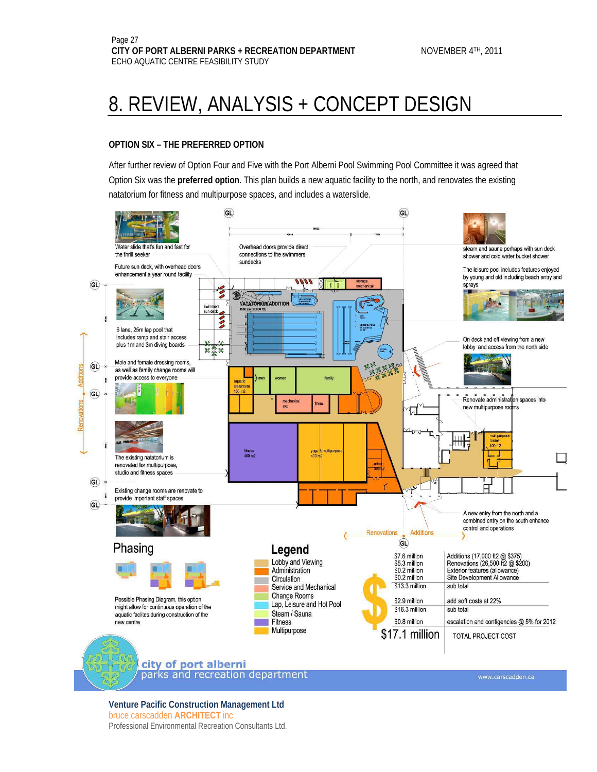#### **OPTION SIX – THE PREFERRED OPTION**

After further review of Option Four and Five with the Port Alberni Pool Swimming Pool Committee it was agreed that Option Six was the **preferred option**. This plan builds a new aquatic facility to the north, and renovates the existing natatorium for fitness and multipurpose spaces, and includes a waterslide.

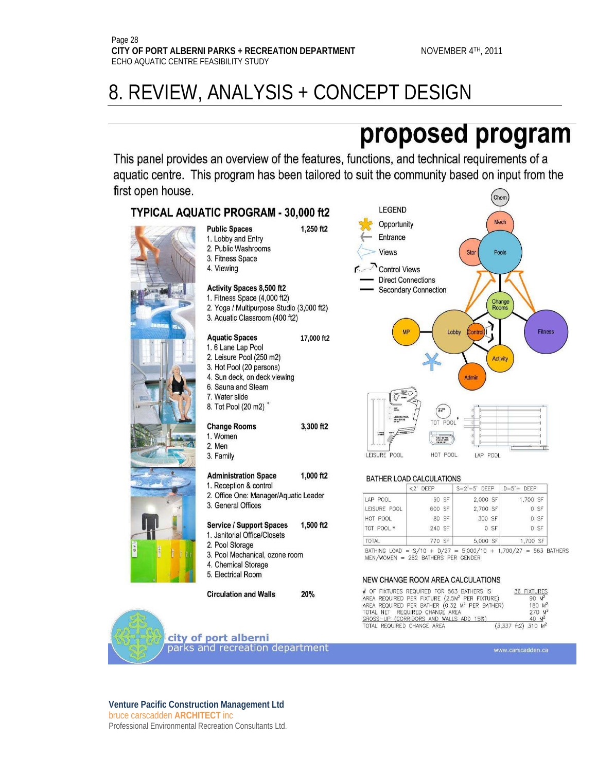## proposed program

This panel provides an overview of the features, functions, and technical requirements of a aquatic centre. This program has been tailored to suit the community based on input from the first open house. Chem

### TYPICAL AQUATIC PROGRAM - 30,000 ft2



| <b>Public Spaces</b> |  |
|----------------------|--|
| 1. Lobby and Entry   |  |
| 2. Public Washrooms  |  |
| 3. Fitness Space     |  |
| 4. Viewing           |  |

#### Activity Spaces 8,500 ft2

- 1. Fitness Space (4,000 ft2)
- 2. Yoga / Multipurpose Studio (3,000 ft2) 3. Aquatic Classroom (400 ft2)

#### **Aquatic Spaces**

- 1.6 Lane Lap Pool
- 2. Leisure Pool (250 m2)
- 3. Hot Pool (20 persons)
- 4. Sun deck, on deck viewing
- 6. Sauna and Steam
- 7. Water slide 8. Tot Pool (20 m2)

- **Change Rooms**
- 1. Women 2. Men
- 3. Family

#### **Administration Space** 1,000 ft2

- 1. Reception & control
- 2. Office One: Manager/Aquatic Leader 3. General Offices

#### **Service / Support Spaces** 1,500 ft2

- 1. Janitorial Office/Closets
- 2. Pool Storage
- 3. Pool Mechanical, ozone room
- 4. Chemical Storage
- 5. Electrical Room

**Circulation and Walls** 20%



#### BATHER LOAD CALCULATIONS

|              | $<$ 2' DEEP |       | $S=2'-5'$ DEEP |      | $D=5'+DEEP$ |      |
|--------------|-------------|-------|----------------|------|-------------|------|
| LAP POOL     |             | 90 SF | 2,000 SF       |      | 1,700 SF    |      |
| LEISURE POOL | 600 SF      |       | 2,700 SF       |      |             | 0 SF |
| HOT POOL     |             | 80 SF | 300 SF         |      |             | 0 SF |
| TOT POOL *   | 240 SF      |       |                | 0 SF |             | 0 SF |
| <b>TOTAL</b> | 770 SF      |       | 5,000 SF       |      | 1,700 SF    |      |

+ 1,700/27 = 563 BATHERS  $MEN/WOMEN = 282$  BATHERS PER GENDER

#### NEW CHANGE ROOM AREA CALCULATIONS

| # OF FIXTURES REQUIRED FOR 563 BATHERS IS                 | 36 FIXTURES                            |
|-----------------------------------------------------------|----------------------------------------|
| AREA REQUIRED PER FIXTURE (2.5M2 PER FIXTURE)             | $90 M^2$                               |
| AREA REQUIRED PER BATHER (0.32 M <sup>2</sup> PER BATHER) | $180 M^2$                              |
| TOTAL NET REQUIRED CHANGE AREA                            | $270 M^2$                              |
| GROSS-UP (CORRIDORS AND WALLS ADD 15%)                    | $40 M^2$                               |
| TOTAL REQUIRED CHANGE AREA                                | $(3.337 \text{ ft2})$ 310 $\text{M}^2$ |





**Venture Pacific Construction Management Ltd** bruce carscadden **ARCHITECT** inc Professional Environmental Recreation Consultants Ltd.

**17,000 ft2** 

3,300 ft2

1.250 ft2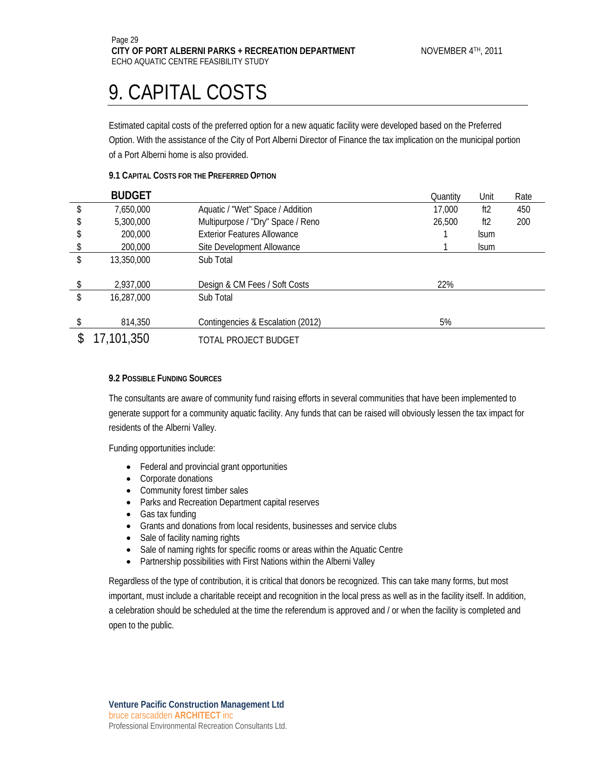### 9. CAPITAL COSTS

Estimated capital costs of the preferred option for a new aquatic facility were developed based on the Preferred Option. With the assistance of the City of Port Alberni Director of Finance the tax implication on the municipal portion of a Port Alberni home is also provided.

#### **9.1 CAPITAL COSTS FOR THE PREFERRED OPTION**

| <b>BUDGET</b>    |                                    | Quantity | Unit        | Rate |
|------------------|------------------------------------|----------|-------------|------|
| 7,650,000        | Aquatic / "Wet" Space / Addition   | 17,000   | ft2         | 450  |
| 5,300,000        | Multipurpose / "Dry" Space / Reno  | 26,500   | ft2         | 200  |
| 200,000          | <b>Exterior Features Allowance</b> |          | <b>Isum</b> |      |
| 200,000          | Site Development Allowance         |          | <b>Isum</b> |      |
| \$<br>13,350,000 | Sub Total                          |          |             |      |
|                  |                                    |          |             |      |
| 2,937,000        | Design & CM Fees / Soft Costs      | 22%      |             |      |
| \$<br>16,287,000 | Sub Total                          |          |             |      |
|                  |                                    |          |             |      |
| 814,350          | Contingencies & Escalation (2012)  | 5%       |             |      |
| 17,101,350       | TOTAL PROJECT BUDGET               |          |             |      |

#### **9.2 POSSIBLE FUNDING SOURCES**

The consultants are aware of community fund raising efforts in several communities that have been implemented to generate support for a community aquatic facility. Any funds that can be raised will obviously lessen the tax impact for residents of the Alberni Valley.

Funding opportunities include:

- Federal and provincial grant opportunities
- Corporate donations
- Community forest timber sales
- Parks and Recreation Department capital reserves
- Gas tax funding
- Grants and donations from local residents, businesses and service clubs
- Sale of facility naming rights
- Sale of naming rights for specific rooms or areas within the Aquatic Centre
- Partnership possibilities with First Nations within the Alberni Valley

Regardless of the type of contribution, it is critical that donors be recognized. This can take many forms, but most important, must include a charitable receipt and recognition in the local press as well as in the facility itself. In addition, a celebration should be scheduled at the time the referendum is approved and / or when the facility is completed and open to the public.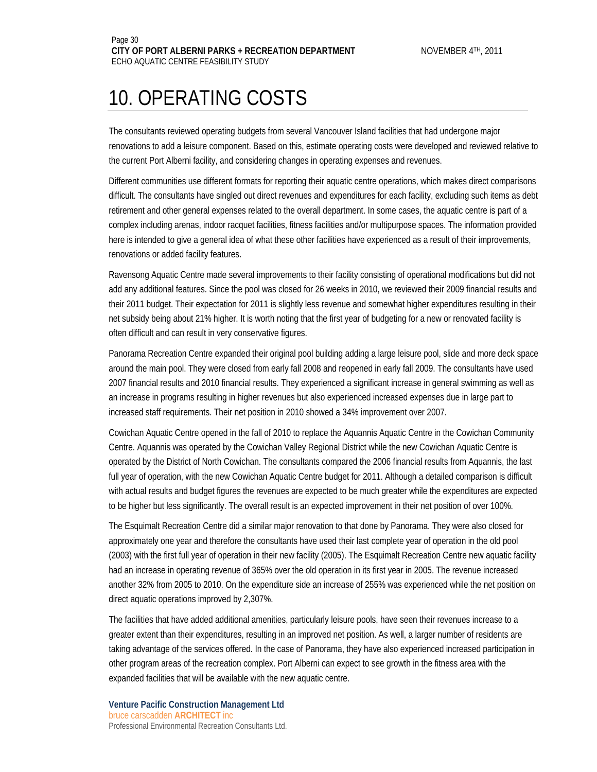### 10. OPERATING COSTS

The consultants reviewed operating budgets from several Vancouver Island facilities that had undergone major renovations to add a leisure component. Based on this, estimate operating costs were developed and reviewed relative to the current Port Alberni facility, and considering changes in operating expenses and revenues.

Different communities use different formats for reporting their aquatic centre operations, which makes direct comparisons difficult. The consultants have singled out direct revenues and expenditures for each facility, excluding such items as debt retirement and other general expenses related to the overall department. In some cases, the aquatic centre is part of a complex including arenas, indoor racquet facilities, fitness facilities and/or multipurpose spaces. The information provided here is intended to give a general idea of what these other facilities have experienced as a result of their improvements, renovations or added facility features.

Ravensong Aquatic Centre made several improvements to their facility consisting of operational modifications but did not add any additional features. Since the pool was closed for 26 weeks in 2010, we reviewed their 2009 financial results and their 2011 budget. Their expectation for 2011 is slightly less revenue and somewhat higher expenditures resulting in their net subsidy being about 21% higher. It is worth noting that the first year of budgeting for a new or renovated facility is often difficult and can result in very conservative figures.

Panorama Recreation Centre expanded their original pool building adding a large leisure pool, slide and more deck space around the main pool. They were closed from early fall 2008 and reopened in early fall 2009. The consultants have used 2007 financial results and 2010 financial results. They experienced a significant increase in general swimming as well as an increase in programs resulting in higher revenues but also experienced increased expenses due in large part to increased staff requirements. Their net position in 2010 showed a 34% improvement over 2007.

Cowichan Aquatic Centre opened in the fall of 2010 to replace the Aquannis Aquatic Centre in the Cowichan Community Centre. Aquannis was operated by the Cowichan Valley Regional District while the new Cowichan Aquatic Centre is operated by the District of North Cowichan. The consultants compared the 2006 financial results from Aquannis, the last full year of operation, with the new Cowichan Aquatic Centre budget for 2011. Although a detailed comparison is difficult with actual results and budget figures the revenues are expected to be much greater while the expenditures are expected to be higher but less significantly. The overall result is an expected improvement in their net position of over 100%.

The Esquimalt Recreation Centre did a similar major renovation to that done by Panorama. They were also closed for approximately one year and therefore the consultants have used their last complete year of operation in the old pool (2003) with the first full year of operation in their new facility (2005). The Esquimalt Recreation Centre new aquatic facility had an increase in operating revenue of 365% over the old operation in its first year in 2005. The revenue increased another 32% from 2005 to 2010. On the expenditure side an increase of 255% was experienced while the net position on direct aquatic operations improved by 2,307%.

The facilities that have added additional amenities, particularly leisure pools, have seen their revenues increase to a greater extent than their expenditures, resulting in an improved net position. As well, a larger number of residents are taking advantage of the services offered. In the case of Panorama, they have also experienced increased participation in other program areas of the recreation complex. Port Alberni can expect to see growth in the fitness area with the expanded facilities that will be available with the new aquatic centre.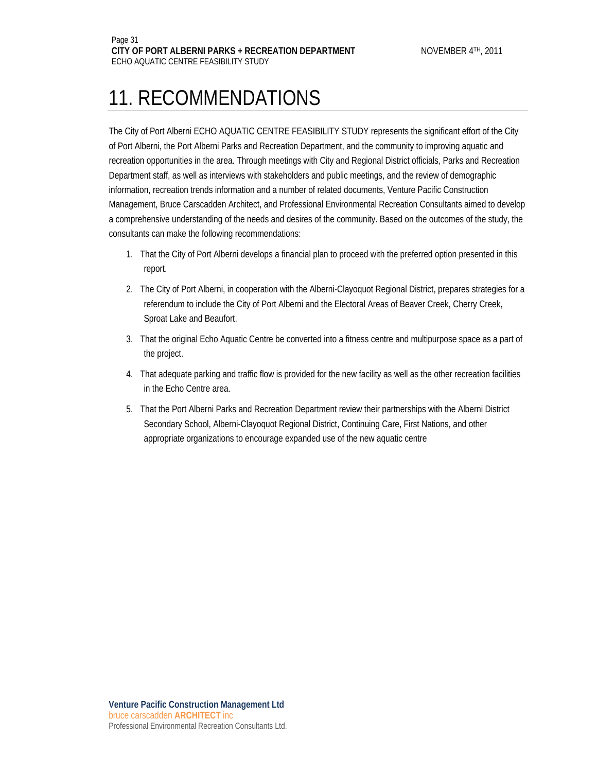### 11. RECOMMENDATIONS

The City of Port Alberni ECHO AQUATIC CENTRE FEASIBILITY STUDY represents the significant effort of the City of Port Alberni, the Port Alberni Parks and Recreation Department, and the community to improving aquatic and recreation opportunities in the area. Through meetings with City and Regional District officials, Parks and Recreation Department staff, as well as interviews with stakeholders and public meetings, and the review of demographic information, recreation trends information and a number of related documents, Venture Pacific Construction Management, Bruce Carscadden Architect, and Professional Environmental Recreation Consultants aimed to develop a comprehensive understanding of the needs and desires of the community. Based on the outcomes of the study, the consultants can make the following recommendations:

- 1. That the City of Port Alberni develops a financial plan to proceed with the preferred option presented in this report.
- 2. The City of Port Alberni, in cooperation with the Alberni-Clayoquot Regional District, prepares strategies for a referendum to include the City of Port Alberni and the Electoral Areas of Beaver Creek, Cherry Creek, Sproat Lake and Beaufort.
- 3. That the original Echo Aquatic Centre be converted into a fitness centre and multipurpose space as a part of the project.
- 4. That adequate parking and traffic flow is provided for the new facility as well as the other recreation facilities in the Echo Centre area.
- 5. That the Port Alberni Parks and Recreation Department review their partnerships with the Alberni District Secondary School, Alberni-Clayoquot Regional District, Continuing Care, First Nations, and other appropriate organizations to encourage expanded use of the new aquatic centre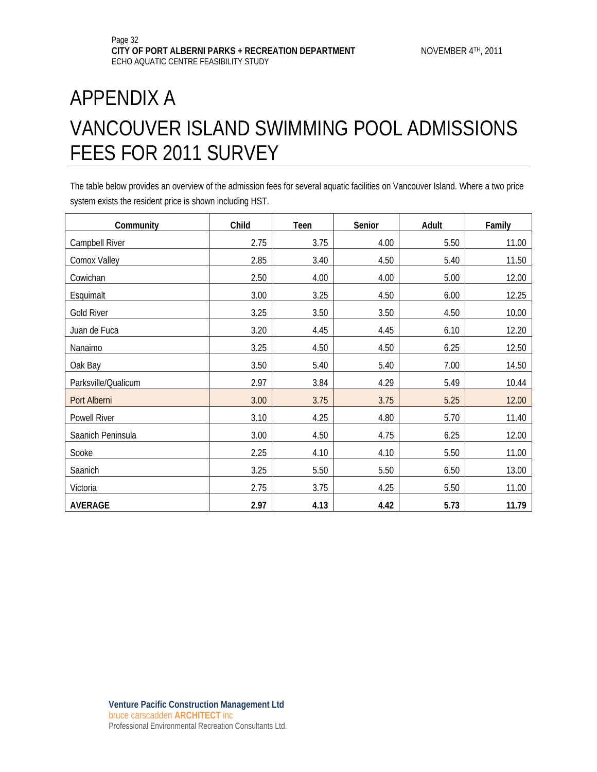### APPENDIX A VANCOUVER ISLAND SWIMMING POOL ADMISSIONS FEES FOR 2011 SURVEY

The table below provides an overview of the admission fees for several aquatic facilities on Vancouver Island. Where a two price system exists the resident price is shown including HST.

| Community           | Child | Teen | Senior | Adult | Family |
|---------------------|-------|------|--------|-------|--------|
| Campbell River      | 2.75  | 3.75 | 4.00   | 5.50  | 11.00  |
| Comox Valley        | 2.85  | 3.40 | 4.50   | 5.40  | 11.50  |
| Cowichan            | 2.50  | 4.00 | 4.00   | 5.00  | 12.00  |
| Esquimalt           | 3.00  | 3.25 | 4.50   | 6.00  | 12.25  |
| <b>Gold River</b>   | 3.25  | 3.50 | 3.50   | 4.50  | 10.00  |
| Juan de Fuca        | 3.20  | 4.45 | 4.45   | 6.10  | 12.20  |
| Nanaimo             | 3.25  | 4.50 | 4.50   | 6.25  | 12.50  |
| Oak Bay             | 3.50  | 5.40 | 5.40   | 7.00  | 14.50  |
| Parksville/Qualicum | 2.97  | 3.84 | 4.29   | 5.49  | 10.44  |
| Port Alberni        | 3.00  | 3.75 | 3.75   | 5.25  | 12.00  |
| Powell River        | 3.10  | 4.25 | 4.80   | 5.70  | 11.40  |
| Saanich Peninsula   | 3.00  | 4.50 | 4.75   | 6.25  | 12.00  |
| Sooke               | 2.25  | 4.10 | 4.10   | 5.50  | 11.00  |
| Saanich             | 3.25  | 5.50 | 5.50   | 6.50  | 13.00  |
| Victoria            | 2.75  | 3.75 | 4.25   | 5.50  | 11.00  |
| <b>AVERAGE</b>      | 2.97  | 4.13 | 4.42   | 5.73  | 11.79  |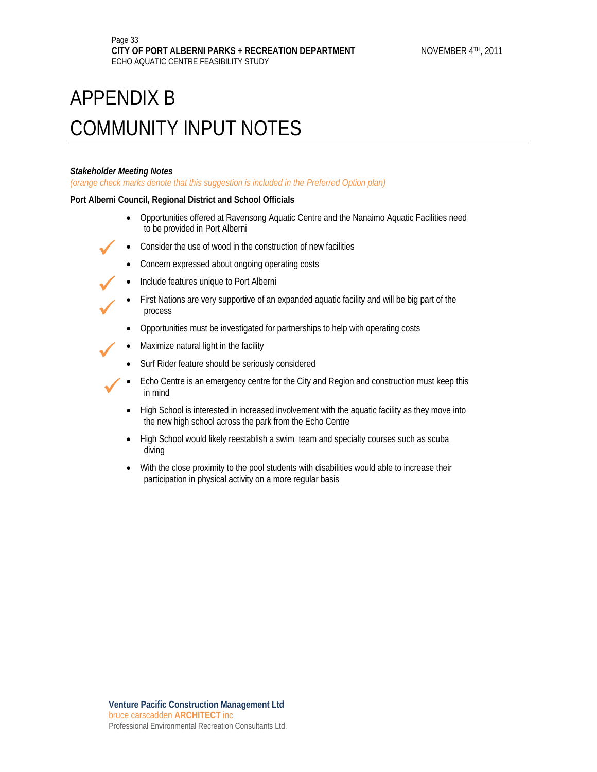### *Stakeholder Meeting Notes*

 $\checkmark$ 

 $\checkmark$ 

 $\checkmark$ 

 $\checkmark$ 

*(orange check marks denote that this suggestion is included in the Preferred Option plan)* 

### **Port Alberni Council, Regional District and School Officials**

- Opportunities offered at Ravensong Aquatic Centre and the Nanaimo Aquatic Facilities need to be provided in Port Alberni
- Consider the use of wood in the construction of new facilities
	- Concern expressed about ongoing operating costs
- Include features unique to Port Alberni
- First Nations are very supportive of an expanded aquatic facility and will be big part of the process
- Opportunities must be investigated for partnerships to help with operating costs
- Maximize natural light in the facility
- Surf Rider feature should be seriously considered
- Echo Centre is an emergency centre for the City and Region and construction must keep this in mind  $\checkmark$ 
	- High School is interested in increased involvement with the aquatic facility as they move into the new high school across the park from the Echo Centre
	- High School would likely reestablish a swim team and specialty courses such as scuba diving
	- With the close proximity to the pool students with disabilities would able to increase their participation in physical activity on a more regular basis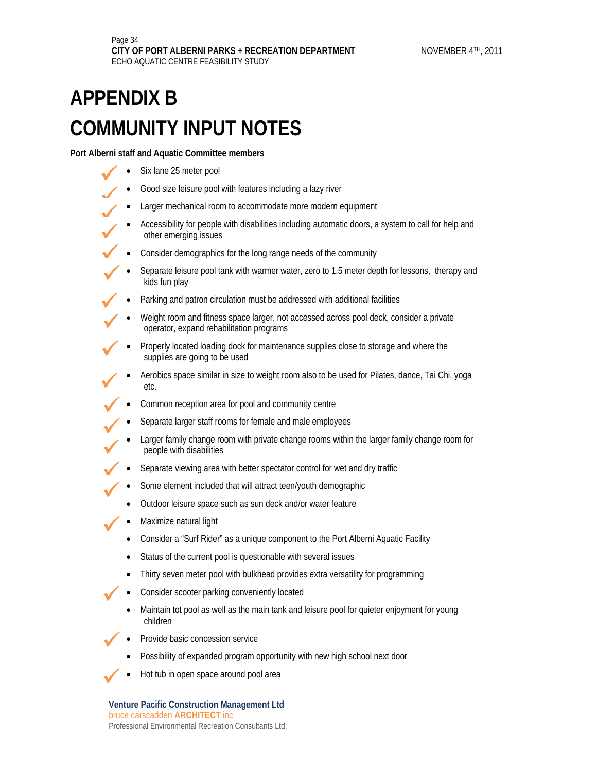**Port Alberni staff and Aquatic Committee members** 

Six lane 25 meter pool  $\checkmark$ 

 $\bigvee$  $\checkmark$ 

 $\checkmark$ 

 $\checkmark$ 

 $\checkmark$ 

 $\checkmark$ 

 $\checkmark$ 

 $\checkmark$ 

 $\checkmark$ 

- Good size leisure pool with features including a lazy river  $\overline{9}$ 
	- Larger mechanical room to accommodate more modern equipment
	- Accessibility for people with disabilities including automatic doors, a system to call for help and other emerging issues
- Consider demographics for the long range needs of the community  $\checkmark$
- Separate leisure pool tank with warmer water, zero to 1.5 meter depth for lessons, therapy and kids fun play  $\checkmark$ 
	- Parking and patron circulation must be addressed with additional facilities
- Weight room and fitness space larger, not accessed across pool deck, consider a private operator, expand rehabilitation programs  $\checkmark$ 
	- Properly located loading dock for maintenance supplies close to storage and where the supplies are going to be used
	- Aerobics space similar in size to weight room also to be used for Pilates, dance, Tai Chi, yoga etc.
- Common reception area for pool and community centre  $\checkmark$ 
	- Separate larger staff rooms for female and male employees
	- Larger family change room with private change rooms within the larger family change room for people with disabilities
- Separate viewing area with better spectator control for wet and dry traffic  $\checkmark$
- Some element included that will attract teen/youth demographic  $\checkmark$ 
	- Outdoor leisure space such as sun deck and/or water feature
	- Maximize natural light
	- Consider a "Surf Rider" as a unique component to the Port Alberni Aquatic Facility
	- Status of the current pool is questionable with several issues
	- Thirty seven meter pool with bulkhead provides extra versatility for programming
	- Consider scooter parking conveniently located
	- Maintain tot pool as well as the main tank and leisure pool for quieter enjoyment for young children
- Provide basic concession service  $\checkmark$ 
	- Possibility of expanded program opportunity with new high school next door
- Hot tub in open space around pool area  $\checkmark$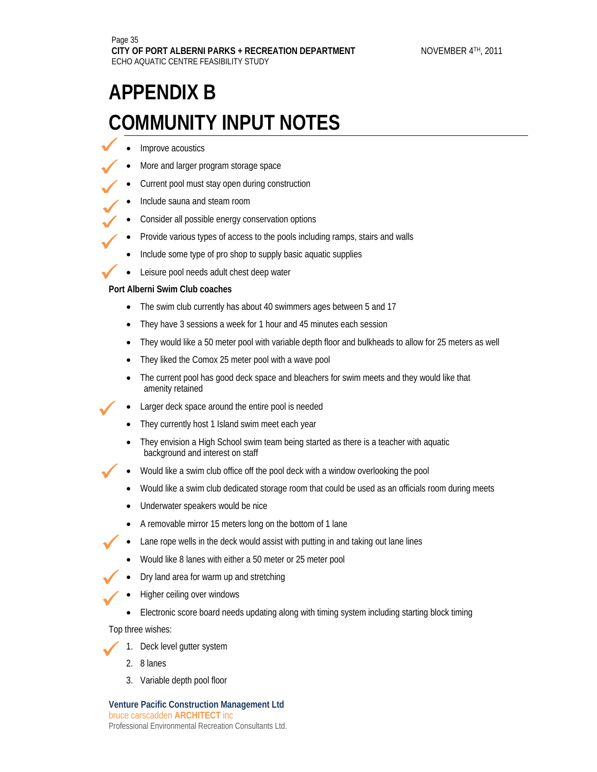- Improve acoustics  $\checkmark$
- More and larger program storage space  $\checkmark$
- Current pool must stay open during construction  $\checkmark$ 
	- Include sauna and steam room
- Consider all possible energy conservation options  $\checkmark$  $\bigvee$ 
	- Provide various types of access to the pools including ramps, stairs and walls
	- Include some type of pro shop to supply basic aquatic supplies
	- Leisure pool needs adult chest deep water

**Port Alberni Swim Club coaches**   $\checkmark$ 

 $\checkmark$ 

 $\checkmark$ 

 $\checkmark$ 

 $\checkmark$ 

 $\checkmark$ 

 $\checkmark$ 

 $\checkmark$ 

- The swim club currently has about 40 swimmers ages between 5 and 17
- They have 3 sessions a week for 1 hour and 45 minutes each session
- They would like a 50 meter pool with variable depth floor and bulkheads to allow for 25 meters as well
- They liked the Comox 25 meter pool with a wave pool
- The current pool has good deck space and bleachers for swim meets and they would like that amenity retained
- Larger deck space around the entire pool is needed
- They currently host 1 Island swim meet each year
- They envision a High School swim team being started as there is a teacher with aquatic background and interest on staff
- Would like a swim club office off the pool deck with a window overlooking the pool
	- Would like a swim club dedicated storage room that could be used as an officials room during meets
	- Underwater speakers would be nice
	- A removable mirror 15 meters long on the bottom of 1 lane
- Lane rope wells in the deck would assist with putting in and taking out lane lines
- Would like 8 lanes with either a 50 meter or 25 meter pool
- Dry land area for warm up and stretching
- Higher ceiling over windows
- Electronic score board needs updating along with timing system including starting block timing

Top three wishes:

- 1. Deck level gutter system
- 2. 8 lanes
- 3. Variable depth pool floor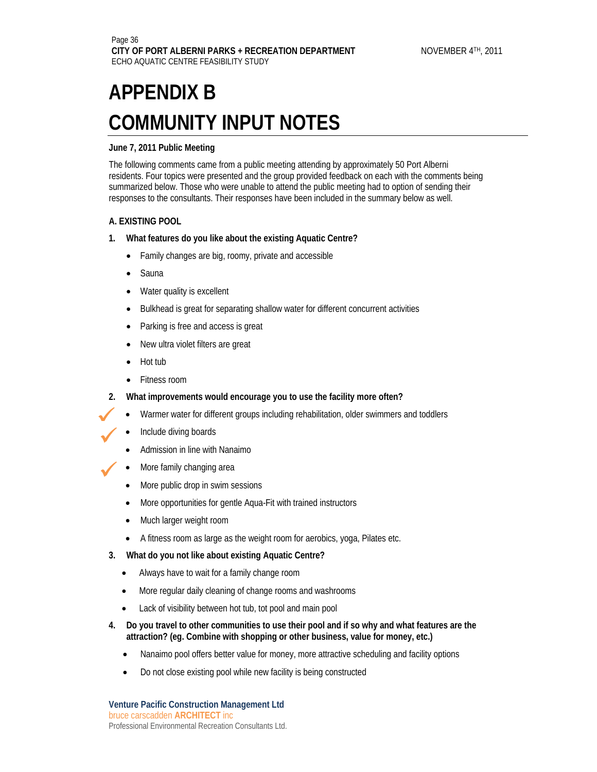#### **June 7, 2011 Public Meeting**

The following comments came from a public meeting attending by approximately 50 Port Alberni residents. Four topics were presented and the group provided feedback on each with the comments being summarized below. Those who were unable to attend the public meeting had to option of sending their responses to the consultants. Their responses have been included in the summary below as well.

#### **A. EXISTING POOL**

- **1. What features do you like about the existing Aquatic Centre?** 
	- Family changes are big, roomy, private and accessible
	- Sauna
	- Water quality is excellent
	- Bulkhead is great for separating shallow water for different concurrent activities
	- Parking is free and access is great
	- New ultra violet filters are great
	- Hot tub

 $\checkmark$ 

 $\checkmark$ 

- Fitness room
- **2. What improvements would encourage you to use the facility more often?** 
	- Warmer water for different groups including rehabilitation, older swimmers and toddlers
	- Include diving boards
	- Admission in line with Nanaimo
- More family changing area  $\checkmark$ 
	- More public drop in swim sessions
	- More opportunities for gentle Aqua-Fit with trained instructors
	- Much larger weight room
	- A fitness room as large as the weight room for aerobics, yoga, Pilates etc.
	- **3. What do you not like about existing Aquatic Centre?** 
		- Always have to wait for a family change room
		- More regular daily cleaning of change rooms and washrooms
		- Lack of visibility between hot tub, tot pool and main pool
	- **4. Do you travel to other communities to use their pool and if so why and what features are the attraction? (eg. Combine with shopping or other business, value for money, etc.)** 
		- Nanaimo pool offers better value for money, more attractive scheduling and facility options
		- Do not close existing pool while new facility is being constructed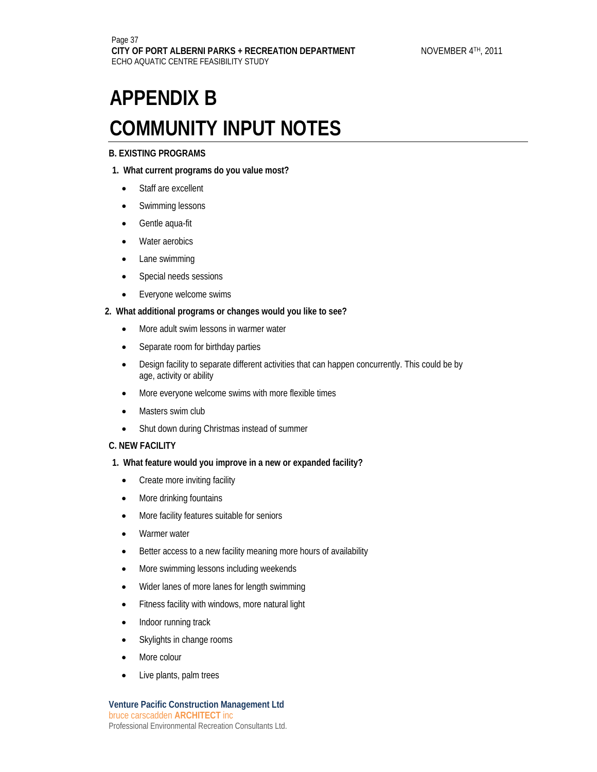#### **B. EXISTING PROGRAMS**

#### **1. What current programs do you value most?**

- Staff are excellent
- Swimming lessons
- Gentle aqua-fit
- Water aerobics
- Lane swimming
- Special needs sessions
- Everyone welcome swims

#### **2. What additional programs or changes would you like to see?**

- More adult swim lessons in warmer water
- Separate room for birthday parties
- Design facility to separate different activities that can happen concurrently. This could be by age, activity or ability
- More everyone welcome swims with more flexible times
- Masters swim club
- Shut down during Christmas instead of summer

#### **C. NEW FACILITY**

- **1. What feature would you improve in a new or expanded facility?** 
	- Create more inviting facility
	- More drinking fountains
	- More facility features suitable for seniors
	- Warmer water
	- Better access to a new facility meaning more hours of availability
	- More swimming lessons including weekends
	- Wider lanes of more lanes for length swimming
	- Fitness facility with windows, more natural light
	- Indoor running track
	- Skylights in change rooms
	- More colour
	- Live plants, palm trees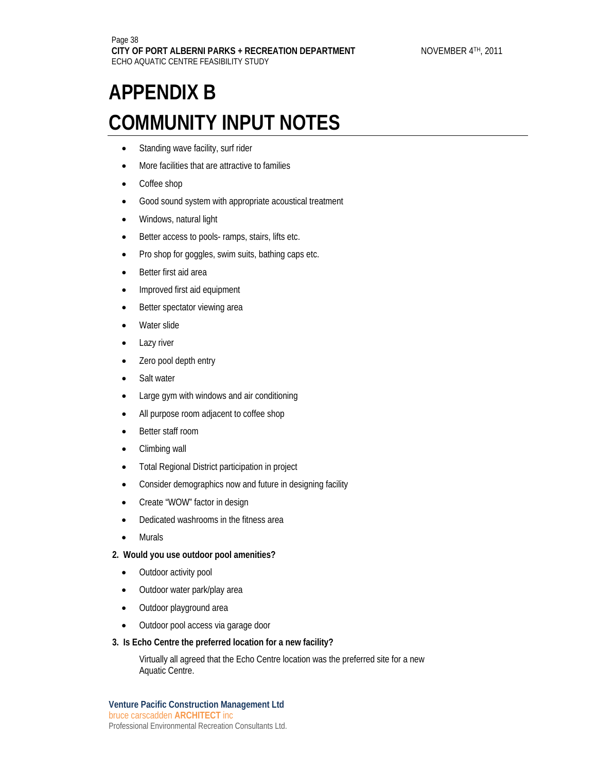- Standing wave facility, surf rider
- More facilities that are attractive to families
- Coffee shop
- Good sound system with appropriate acoustical treatment
- Windows, natural light
- Better access to pools- ramps, stairs, lifts etc.
- Pro shop for goggles, swim suits, bathing caps etc.
- Better first aid area
- Improved first aid equipment
- Better spectator viewing area
- Water slide
- Lazy river
- Zero pool depth entry
- Salt water
- Large gym with windows and air conditioning
- All purpose room adjacent to coffee shop
- Better staff room
- Climbing wall
- Total Regional District participation in project
- Consider demographics now and future in designing facility
- Create "WOW" factor in design
- Dedicated washrooms in the fitness area
- **Murals**

#### **2. Would you use outdoor pool amenities?**

- Outdoor activity pool
- Outdoor water park/play area
- Outdoor playground area
- Outdoor pool access via garage door
- **3. Is Echo Centre the preferred location for a new facility?**

Virtually all agreed that the Echo Centre location was the preferred site for a new Aquatic Centre.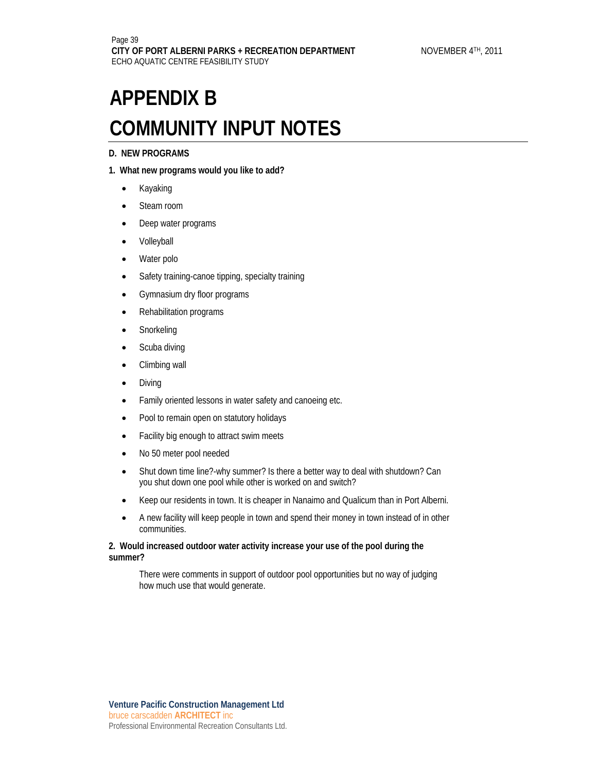#### **D. NEW PROGRAMS**

#### **1. What new programs would you like to add?**

- Kayaking
- Steam room
- Deep water programs
- Volleyball
- Water polo
- Safety training-canoe tipping, specialty training
- Gymnasium dry floor programs
- Rehabilitation programs
- Snorkeling
- Scuba diving
- Climbing wall
- Diving
- Family oriented lessons in water safety and canoeing etc.
- Pool to remain open on statutory holidays
- Facility big enough to attract swim meets
- No 50 meter pool needed
- Shut down time line?-why summer? Is there a better way to deal with shutdown? Can you shut down one pool while other is worked on and switch?
- Keep our residents in town. It is cheaper in Nanaimo and Qualicum than in Port Alberni.
- A new facility will keep people in town and spend their money in town instead of in other communities.

#### **2. Would increased outdoor water activity increase your use of the pool during the summer?**

There were comments in support of outdoor pool opportunities but no way of judging how much use that would generate.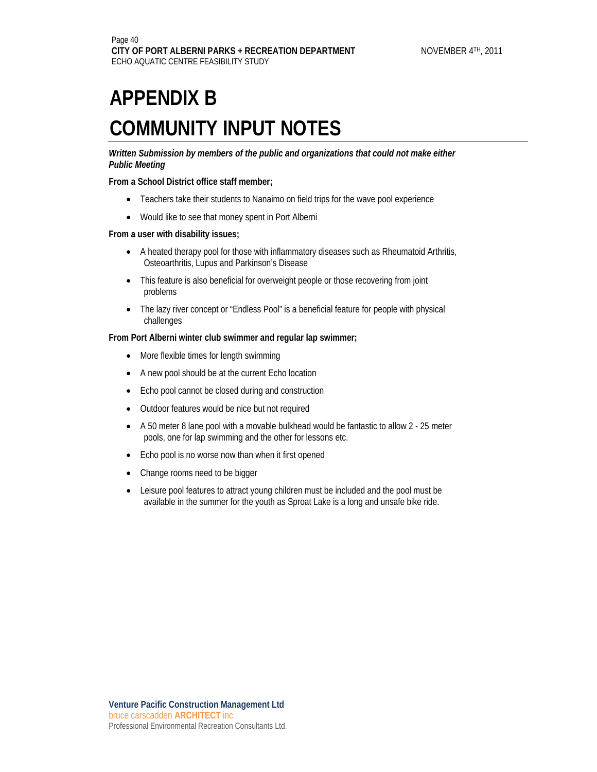*Written Submission by members of the public and organizations that could not make either Public Meeting*

**From a School District office staff member;** 

- Teachers take their students to Nanaimo on field trips for the wave pool experience
- Would like to see that money spent in Port Alberni

#### **From a user with disability issues;**

- A heated therapy pool for those with inflammatory diseases such as Rheumatoid Arthritis, Osteoarthritis, Lupus and Parkinson's Disease
- This feature is also beneficial for overweight people or those recovering from joint problems
- The lazy river concept or "Endless Pool" is a beneficial feature for people with physical challenges

#### **From Port Alberni winter club swimmer and regular lap swimmer;**

- More flexible times for length swimming
- A new pool should be at the current Echo location
- Echo pool cannot be closed during and construction
- Outdoor features would be nice but not required
- A 50 meter 8 lane pool with a movable bulkhead would be fantastic to allow 2 25 meter pools, one for lap swimming and the other for lessons etc.
- Echo pool is no worse now than when it first opened
- Change rooms need to be bigger
- Leisure pool features to attract young children must be included and the pool must be available in the summer for the youth as Sproat Lake is a long and unsafe bike ride.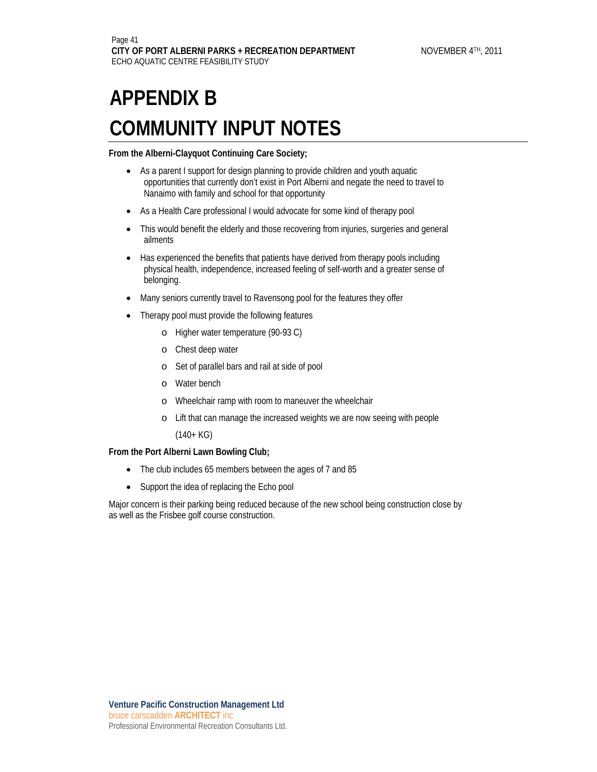**From the Alberni-Clayquot Continuing Care Society;** 

- As a parent I support for design planning to provide children and youth aquatic opportunities that currently don't exist in Port Alberni and negate the need to travel to Nanaimo with family and school for that opportunity
- As a Health Care professional I would advocate for some kind of therapy pool
- This would benefit the elderly and those recovering from injuries, surgeries and general ailments
- Has experienced the benefits that patients have derived from therapy pools including physical health, independence, increased feeling of self-worth and a greater sense of belonging.
- Many seniors currently travel to Ravensong pool for the features they offer
- Therapy pool must provide the following features
	- o Higher water temperature (90-93 C)
	- o Chest deep water
	- o Set of parallel bars and rail at side of pool
	- o Water bench
	- o Wheelchair ramp with room to maneuver the wheelchair
	- o Lift that can manage the increased weights we are now seeing with people

(140+ KG)

#### **From the Port Alberni Lawn Bowling Club;**

- The club includes 65 members between the ages of 7 and 85
- Support the idea of replacing the Echo pool

Major concern is their parking being reduced because of the new school being construction close by as well as the Frisbee golf course construction.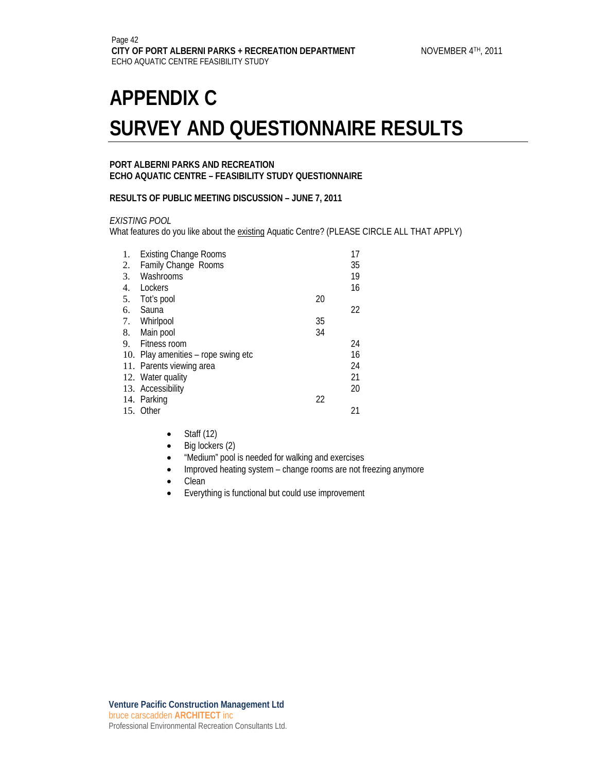#### **PORT ALBERNI PARKS AND RECREATION ECHO AQUATIC CENTRE – FEASIBILITY STUDY QUESTIONNAIRE**

#### **RESULTS OF PUBLIC MEETING DISCUSSION – JUNE 7, 2011**

#### *EXISTING POOL*

What features do you like about the existing Aquatic Centre? (PLEASE CIRCLE ALL THAT APPLY)

| 1. | <b>Existing Change Rooms</b>        |    | 17 |
|----|-------------------------------------|----|----|
| 2. | <b>Family Change Rooms</b>          |    | 35 |
| 3. | Washrooms                           |    | 19 |
| 4. | Lockers                             |    | 16 |
| 5. | Tot's pool                          | 20 |    |
| 6. | Sauna                               |    | 22 |
|    | 7. Whirlpool                        | 35 |    |
| 8. | Main pool                           | 34 |    |
| 9. | Fitness room                        |    | 24 |
|    | 10. Play amenities - rope swing etc |    | 16 |
|    | 11. Parents viewing area            |    | 24 |
|    | 12. Water quality                   |    | 21 |
|    | 13. Accessibility                   |    | 20 |
|    | 14. Parking                         | 22 |    |
|    | 15. Other                           |    | 21 |
|    |                                     |    |    |

- $\bullet$  Staff (12)
- Big lockers (2)
- "Medium" pool is needed for walking and exercises
- Improved heating system change rooms are not freezing anymore
- Clean
- Everything is functional but could use improvement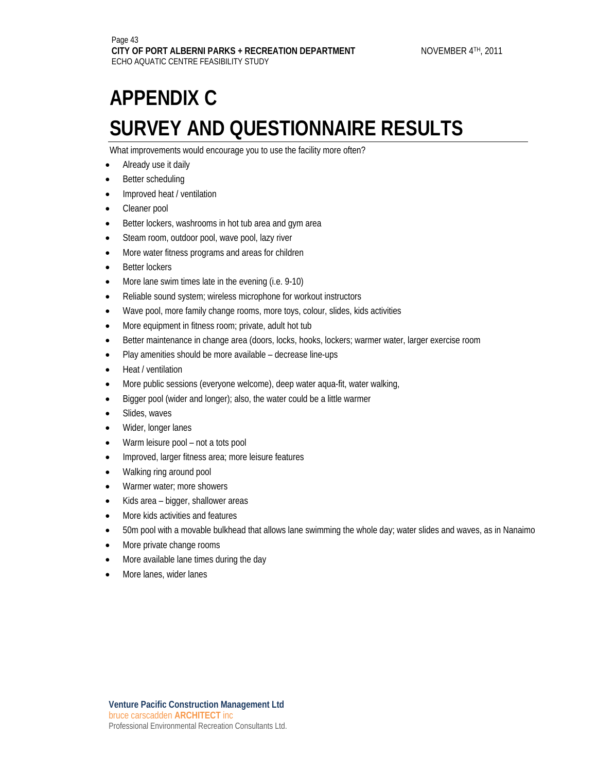What improvements would encourage you to use the facility more often?

- Already use it daily
- Better scheduling
- Improved heat / ventilation
- Cleaner pool
- Better lockers, washrooms in hot tub area and gym area
- Steam room, outdoor pool, wave pool, lazy river
- More water fitness programs and areas for children
- **Better lockers**
- More lane swim times late in the evening (i.e. 9-10)
- Reliable sound system; wireless microphone for workout instructors
- Wave pool, more family change rooms, more toys, colour, slides, kids activities
- More equipment in fitness room; private, adult hot tub
- Better maintenance in change area (doors, locks, hooks, lockers; warmer water, larger exercise room
- Play amenities should be more available decrease line-ups
- Heat / ventilation
- More public sessions (everyone welcome), deep water aqua-fit, water walking,
- Bigger pool (wider and longer); also, the water could be a little warmer
- Slides, waves
- Wider, longer lanes
- Warm leisure pool not a tots pool
- Improved, larger fitness area; more leisure features
- Walking ring around pool
- Warmer water; more showers
- Kids area bigger, shallower areas
- More kids activities and features
- 50m pool with a movable bulkhead that allows lane swimming the whole day; water slides and waves, as in Nanaimo
- More private change rooms
- More available lane times during the day
- More lanes, wider lanes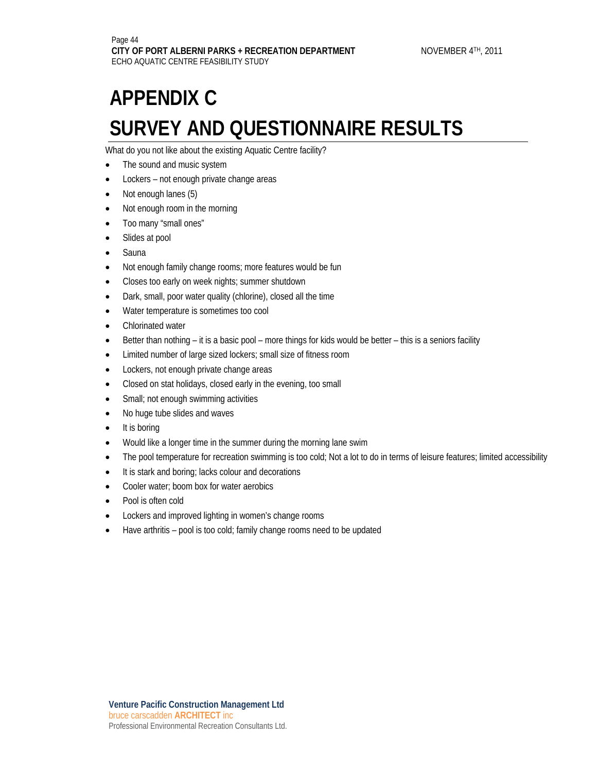What do you not like about the existing Aquatic Centre facility?

- The sound and music system
- Lockers not enough private change areas
- Not enough lanes (5)
- Not enough room in the morning
- Too many "small ones"
- Slides at pool
- Sauna
- Not enough family change rooms; more features would be fun
- Closes too early on week nights; summer shutdown
- Dark, small, poor water quality (chlorine), closed all the time
- Water temperature is sometimes too cool
- Chlorinated water
- Better than nothing it is a basic pool more things for kids would be better this is a seniors facility
- Limited number of large sized lockers; small size of fitness room
- Lockers, not enough private change areas
- Closed on stat holidays, closed early in the evening, too small
- Small; not enough swimming activities
- No huge tube slides and waves
- It is boring
- Would like a longer time in the summer during the morning lane swim
- The pool temperature for recreation swimming is too cold; Not a lot to do in terms of leisure features; limited accessibility
- It is stark and boring; lacks colour and decorations
- Cooler water: boom box for water aerobics
- Pool is often cold
- Lockers and improved lighting in women's change rooms
- Have arthritis pool is too cold; family change rooms need to be updated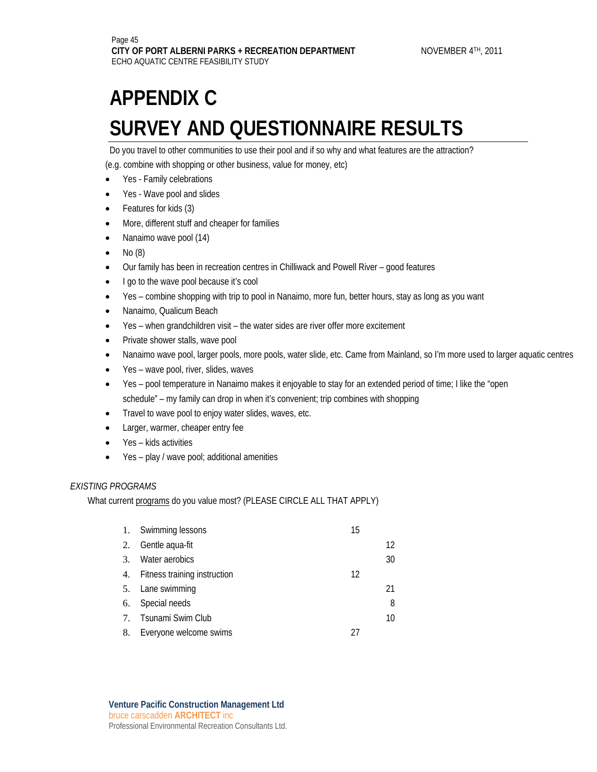Do you travel to other communities to use their pool and if so why and what features are the attraction?

(e.g. combine with shopping or other business, value for money, etc)

- Yes Family celebrations
- Yes Wave pool and slides
- Features for kids (3)
- More, different stuff and cheaper for families
- Nanaimo wave pool (14)
- No (8)
- Our family has been in recreation centres in Chilliwack and Powell River good features
- I go to the wave pool because it's cool
- Yes combine shopping with trip to pool in Nanaimo, more fun, better hours, stay as long as you want
- Nanaimo, Qualicum Beach
- Yes when grandchildren visit the water sides are river offer more excitement
- Private shower stalls, wave pool
- Nanaimo wave pool, larger pools, more pools, water slide, etc. Came from Mainland, so I'm more used to larger aquatic centres
- Yes wave pool, river, slides, waves
- Yes pool temperature in Nanaimo makes it enjoyable to stay for an extended period of time; I like the "open schedule" – my family can drop in when it's convenient; trip combines with shopping
- Travel to wave pool to enjoy water slides, waves, etc.
- Larger, warmer, cheaper entry fee
- Yes kids activities
- Yes play / wave pool; additional amenities

#### *EXISTING PROGRAMS*

What current programs do you value most? (PLEASE CIRCLE ALL THAT APPLY)

| 1. | Swimming lessons                | 15 |    |
|----|---------------------------------|----|----|
| 2. | Gentle aqua-fit                 |    | 12 |
| 3. | Water aerobics                  |    | 30 |
|    | 4. Fitness training instruction | 12 |    |
|    | 5. Lane swimming                |    | 21 |
|    | 6. Special needs                |    | 8  |
|    | 7. Tsunami Swim Club            |    | 10 |
|    | 8. Everyone welcome swims       |    |    |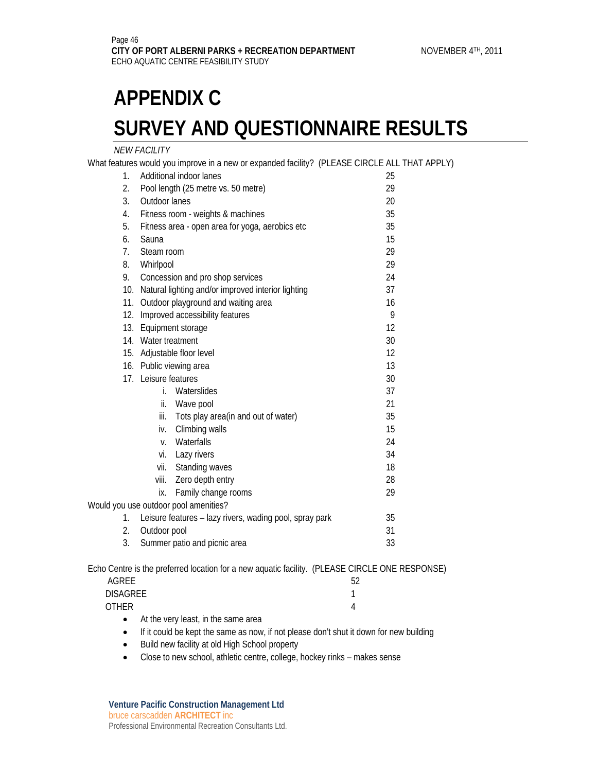#### *NEW FACILITY*

Would

What features would you improve in a new or expanded facility? (PLEASE CIRCLE ALL THAT APPLY)

| $\epsilon$ atures would you improve in a new or expanded facility: TELEASE CINCLE ALL THA |                                                                                                                                                                                      |  |  |  |
|-------------------------------------------------------------------------------------------|--------------------------------------------------------------------------------------------------------------------------------------------------------------------------------------|--|--|--|
| Additional indoor lanes                                                                   | 25                                                                                                                                                                                   |  |  |  |
| 29<br>Pool length (25 metre vs. 50 metre)                                                 |                                                                                                                                                                                      |  |  |  |
| Outdoor lanes<br>20                                                                       |                                                                                                                                                                                      |  |  |  |
| 35<br>Fitness room - weights & machines                                                   |                                                                                                                                                                                      |  |  |  |
| 35<br>Fitness area - open area for yoga, aerobics etc                                     |                                                                                                                                                                                      |  |  |  |
| Sauna<br>15                                                                               |                                                                                                                                                                                      |  |  |  |
| 7.<br>29<br>Steam room                                                                    |                                                                                                                                                                                      |  |  |  |
| 29<br>8.<br>Whirlpool                                                                     |                                                                                                                                                                                      |  |  |  |
| 24<br>Concession and pro shop services                                                    |                                                                                                                                                                                      |  |  |  |
| 37<br>Natural lighting and/or improved interior lighting<br>10.                           |                                                                                                                                                                                      |  |  |  |
| Outdoor playground and waiting area<br>11.<br>16                                          |                                                                                                                                                                                      |  |  |  |
| Improved accessibility features<br>12.                                                    |                                                                                                                                                                                      |  |  |  |
| 13.<br>Equipment storage                                                                  |                                                                                                                                                                                      |  |  |  |
| 14. Water treatment<br>30                                                                 |                                                                                                                                                                                      |  |  |  |
| 15. Adjustable floor level                                                                |                                                                                                                                                                                      |  |  |  |
| 16. Public viewing area<br>13                                                             |                                                                                                                                                                                      |  |  |  |
| 17. Leisure features<br>30                                                                |                                                                                                                                                                                      |  |  |  |
| İ.                                                                                        | 37                                                                                                                                                                                   |  |  |  |
| ii.<br>Wave pool                                                                          | 21                                                                                                                                                                                   |  |  |  |
| Tots play area (in and out of water)                                                      | 35                                                                                                                                                                                   |  |  |  |
| iv.                                                                                       | 15                                                                                                                                                                                   |  |  |  |
| Waterfalls<br>$V_{\odot}$                                                                 | 24                                                                                                                                                                                   |  |  |  |
|                                                                                           | 34                                                                                                                                                                                   |  |  |  |
|                                                                                           | 18                                                                                                                                                                                   |  |  |  |
| viii.                                                                                     | 28                                                                                                                                                                                   |  |  |  |
|                                                                                           | 29                                                                                                                                                                                   |  |  |  |
|                                                                                           | 35                                                                                                                                                                                   |  |  |  |
| Leisure features - lazy rivers, wading pool, spray park<br>1.<br>2.                       |                                                                                                                                                                                      |  |  |  |
| 31                                                                                        |                                                                                                                                                                                      |  |  |  |
| 3.<br>Summer patio and picnic area<br>33                                                  |                                                                                                                                                                                      |  |  |  |
|                                                                                           | Waterslides<br>iii.<br>Climbing walls<br>vi. Lazy rivers<br>vii. Standing waves<br>Zero depth entry<br>Family change rooms<br>ix.<br>you use outdoor pool amenities?<br>Outdoor pool |  |  |  |

Echo Centre is the preferred location for a new aquatic facility. (PLEASE CIRCLE ONE RESPONSE)

|                 | . . | . . | -<br>___ |  |
|-----------------|-----|-----|----------|--|
| AGREE           |     |     |          |  |
| <b>DISAGREE</b> |     |     |          |  |
| <b>OTHER</b>    |     |     |          |  |
|                 |     |     |          |  |

- At the very least, in the same area
- If it could be kept the same as now, if not please don't shut it down for new building
- Build new facility at old High School property
- Close to new school, athletic centre, college, hockey rinks makes sense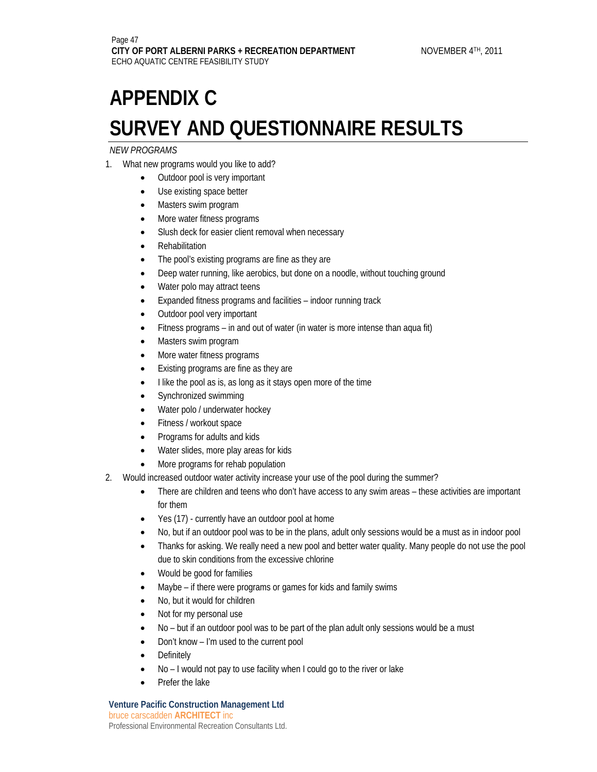#### *NEW PROGRAMS*

- 1. What new programs would you like to add?
	- Outdoor pool is very important
	- Use existing space better
	- Masters swim program
	- More water fitness programs
	- Slush deck for easier client removal when necessary
	- Rehabilitation
	- The pool's existing programs are fine as they are
	- Deep water running, like aerobics, but done on a noodle, without touching ground
	- Water polo may attract teens
	- Expanded fitness programs and facilities indoor running track
	- Outdoor pool very important
	- Fitness programs in and out of water (in water is more intense than aqua fit)
	- Masters swim program
	- More water fitness programs
	- Existing programs are fine as they are
	- I like the pool as is, as long as it stays open more of the time
	- Synchronized swimming
	- Water polo / underwater hockey
	- Fitness / workout space
	- Programs for adults and kids
	- Water slides, more play areas for kids
	- More programs for rehab population
- 2. Would increased outdoor water activity increase your use of the pool during the summer?
	- There are children and teens who don't have access to any swim areas these activities are important for them
	- Yes (17) currently have an outdoor pool at home
	- No, but if an outdoor pool was to be in the plans, adult only sessions would be a must as in indoor pool
	- Thanks for asking. We really need a new pool and better water quality. Many people do not use the pool due to skin conditions from the excessive chlorine
	- Would be good for families
	- Maybe if there were programs or games for kids and family swims
	- No, but it would for children
	- Not for my personal use
	- No but if an outdoor pool was to be part of the plan adult only sessions would be a must
	- Don't know I'm used to the current pool
	- **Definitely**
	- No I would not pay to use facility when I could go to the river or lake
	- Prefer the lake